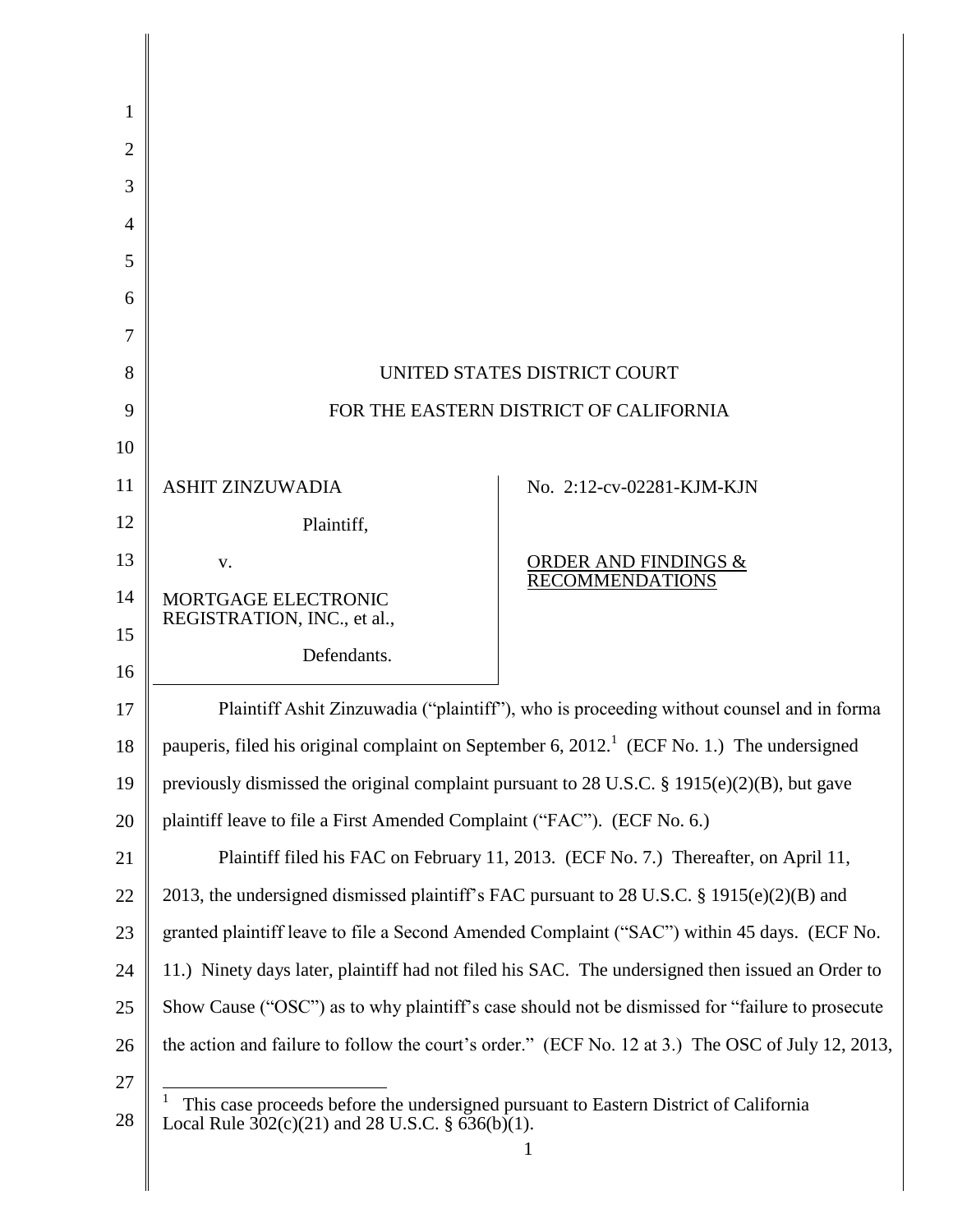| 1              |                                                                                                                                            |                                                                                                        |
|----------------|--------------------------------------------------------------------------------------------------------------------------------------------|--------------------------------------------------------------------------------------------------------|
| $\overline{2}$ |                                                                                                                                            |                                                                                                        |
| 3              |                                                                                                                                            |                                                                                                        |
| 4              |                                                                                                                                            |                                                                                                        |
| 5              |                                                                                                                                            |                                                                                                        |
| 6              |                                                                                                                                            |                                                                                                        |
| 7              |                                                                                                                                            |                                                                                                        |
| 8              |                                                                                                                                            | UNITED STATES DISTRICT COURT                                                                           |
| 9              |                                                                                                                                            | FOR THE EASTERN DISTRICT OF CALIFORNIA                                                                 |
| 10             |                                                                                                                                            |                                                                                                        |
| 11             | <b>ASHIT ZINZUWADIA</b>                                                                                                                    | No. 2:12-cv-02281-KJM-KJN                                                                              |
| 12             | Plaintiff,                                                                                                                                 |                                                                                                        |
| 13             | V.                                                                                                                                         | $\frac{\textcolor{blue}{\textbf{ORDER AND FINDINGS \&}}}{\textcolor{blue}{\textbf{RECOMMENDATIONS}}}$  |
| 14             | MORTGAGE ELECTRONIC                                                                                                                        |                                                                                                        |
| 15             | REGISTRATION, INC., et al.,                                                                                                                |                                                                                                        |
| 16             | Defendants.                                                                                                                                |                                                                                                        |
| 17             |                                                                                                                                            | Plaintiff Ashit Zinzuwadia ("plaintiff"), who is proceeding without counsel and in forma               |
| 18             |                                                                                                                                            | pauperis, filed his original complaint on September 6, 2012. <sup>1</sup> (ECF No. 1.) The undersigned |
| 19             | previously dismissed the original complaint pursuant to 28 U.S.C. § 1915(e)(2)(B), but gave                                                |                                                                                                        |
| 20             | plaintiff leave to file a First Amended Complaint ("FAC"). (ECF No. 6.)                                                                    |                                                                                                        |
| 21             |                                                                                                                                            | Plaintiff filed his FAC on February 11, 2013. (ECF No. 7.) Thereafter, on April 11,                    |
| 22             |                                                                                                                                            | 2013, the undersigned dismissed plaintiff's FAC pursuant to 28 U.S.C. § 1915(e)(2)(B) and              |
| 23             |                                                                                                                                            | granted plaintiff leave to file a Second Amended Complaint ("SAC") within 45 days. (ECF No.            |
| 24             |                                                                                                                                            | 11.) Ninety days later, plaintiff had not filed his SAC. The undersigned then issued an Order to       |
| 25             |                                                                                                                                            | Show Cause ("OSC") as to why plaintiff's case should not be dismissed for "failure to prosecute        |
| 26             |                                                                                                                                            | the action and failure to follow the court's order." (ECF No. 12 at 3.) The OSC of July 12, 2013,      |
| 27             |                                                                                                                                            |                                                                                                        |
| 28             | This case proceeds before the undersigned pursuant to Eastern District of California<br>Local Rule $302(c)(21)$ and 28 U.S.C. § 636(b)(1). |                                                                                                        |
|                |                                                                                                                                            |                                                                                                        |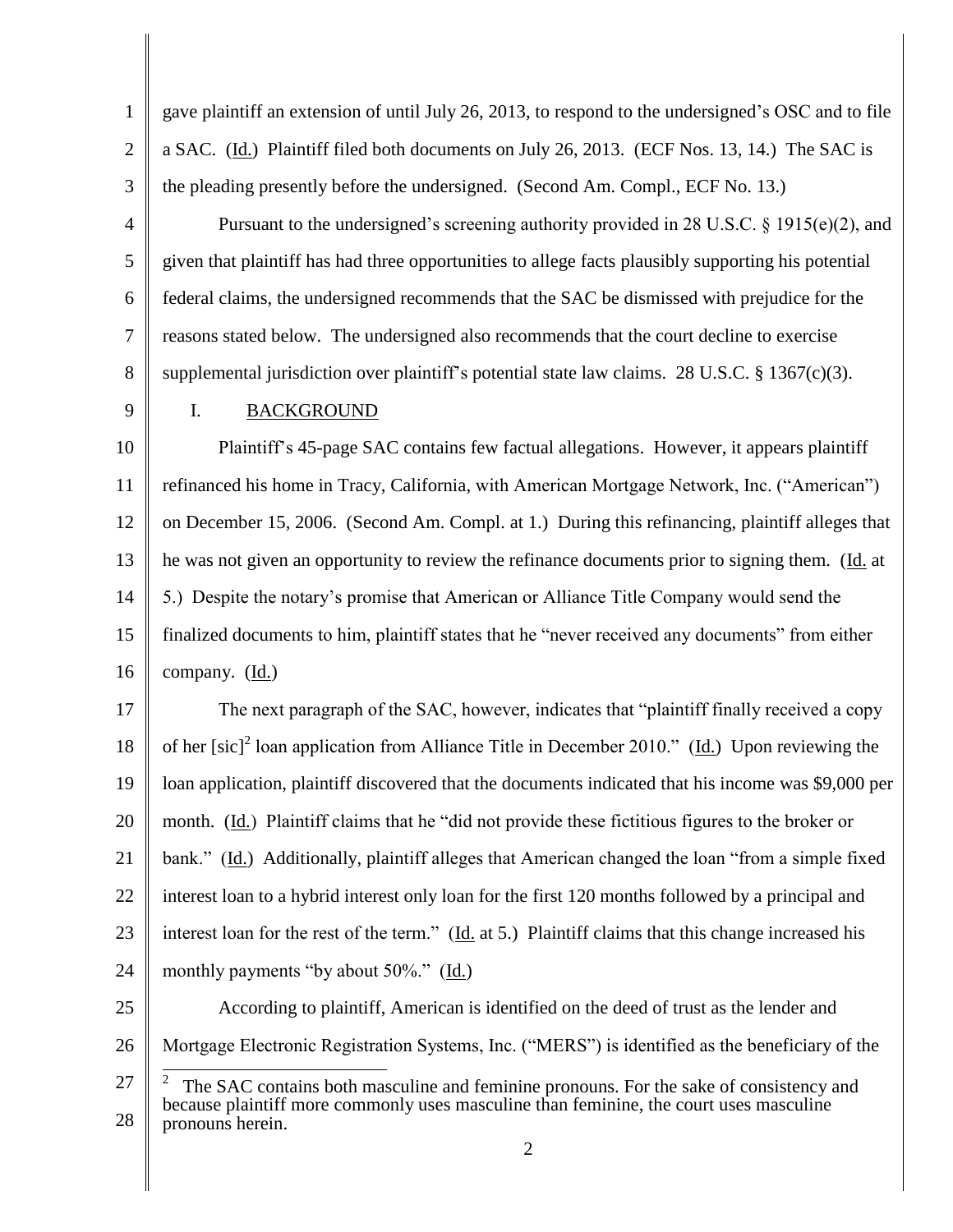1 2 3 gave plaintiff an extension of until July 26, 2013, to respond to the undersigned's OSC and to file a SAC. (Id.) Plaintiff filed both documents on July 26, 2013. (ECF Nos. 13, 14.) The SAC is the pleading presently before the undersigned. (Second Am. Compl., ECF No. 13.)

Pursuant to the undersigned's screening authority provided in 28 U.S.C.  $\S$  1915(e)(2), and given that plaintiff has had three opportunities to allege facts plausibly supporting his potential federal claims, the undersigned recommends that the SAC be dismissed with prejudice for the reasons stated below. The undersigned also recommends that the court decline to exercise supplemental jurisdiction over plaintiff's potential state law claims. 28 U.S.C. § 1367(c)(3).

9

4

5

6

7

8

## I. BACKGROUND

10 11 12 13 14 15 16 Plaintiff's 45-page SAC contains few factual allegations. However, it appears plaintiff refinanced his home in Tracy, California, with American Mortgage Network, Inc. ("American") on December 15, 2006. (Second Am. Compl. at 1.) During this refinancing, plaintiff alleges that he was not given an opportunity to review the refinance documents prior to signing them. (Id. at 5.) Despite the notary's promise that American or Alliance Title Company would send the finalized documents to him, plaintiff states that he "never received any documents" from either company. (Id.)

17 18 19 20 21 22 23 24 The next paragraph of the SAC, however, indicates that "plaintiff finally received a copy of her [sic]<sup>2</sup> loan application from Alliance Title in December 2010." (Id.) Upon reviewing the loan application, plaintiff discovered that the documents indicated that his income was \$9,000 per month. (Id.) Plaintiff claims that he "did not provide these fictitious figures to the broker or bank." (Id.) Additionally, plaintiff alleges that American changed the loan "from a simple fixed interest loan to a hybrid interest only loan for the first 120 months followed by a principal and interest loan for the rest of the term." (Id. at 5.) Plaintiff claims that this change increased his monthly payments "by about 50%." (Id.)

- 25 According to plaintiff, American is identified on the deed of trust as the lender and
- 26 Mortgage Electronic Registration Systems, Inc. ("MERS") is identified as the beneficiary of the
- 27 28  $\overline{a}$ 2 The SAC contains both masculine and feminine pronouns. For the sake of consistency and because plaintiff more commonly uses masculine than feminine, the court uses masculine pronouns herein.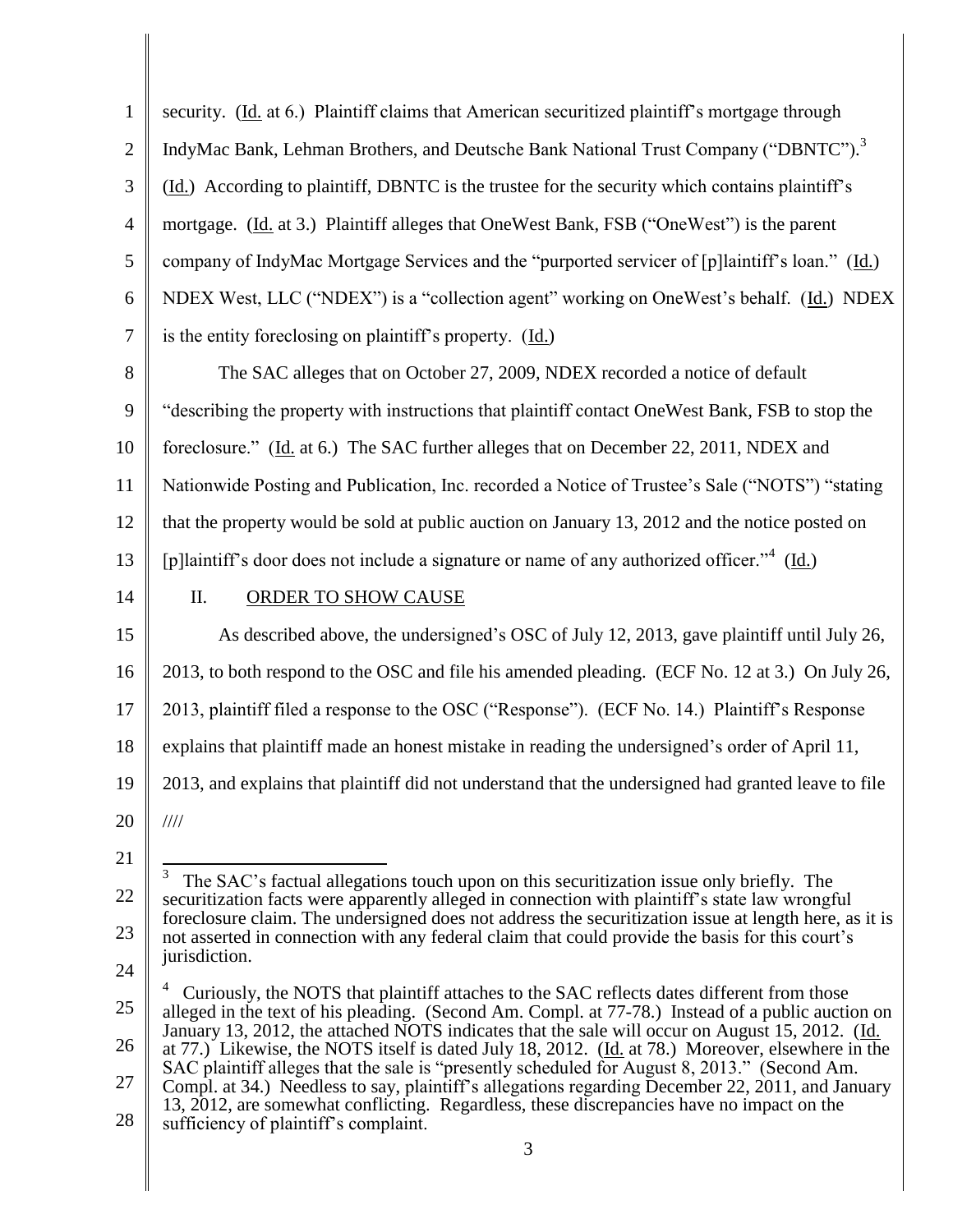| $\mathbf{1}$   | security. (Id. at 6.) Plaintiff claims that American securitized plaintiff's mortgage through                                                                                                            |
|----------------|----------------------------------------------------------------------------------------------------------------------------------------------------------------------------------------------------------|
| $\overline{2}$ | IndyMac Bank, Lehman Brothers, and Deutsche Bank National Trust Company ("DBNTC"). <sup>3</sup>                                                                                                          |
| 3              | (Id.) According to plaintiff, DBNTC is the trustee for the security which contains plaintiff's                                                                                                           |
| 4              | mortgage. (Id. at 3.) Plaintiff alleges that OneWest Bank, FSB ("OneWest") is the parent                                                                                                                 |
| 5              | company of IndyMac Mortgage Services and the "purported servicer of [p]laintiff's loan." (Id.)                                                                                                           |
| 6              | NDEX West, LLC ("NDEX") is a "collection agent" working on OneWest's behalf. (Id.) NDEX                                                                                                                  |
| 7              | is the entity foreclosing on plaintiff's property. (Id.)                                                                                                                                                 |
| 8              | The SAC alleges that on October 27, 2009, NDEX recorded a notice of default                                                                                                                              |
| 9              | "describing the property with instructions that plaintiff contact OneWest Bank, FSB to stop the                                                                                                          |
| 10             | foreclosure." (Id. at 6.) The SAC further alleges that on December 22, 2011, NDEX and                                                                                                                    |
| 11             | Nationwide Posting and Publication, Inc. recorded a Notice of Trustee's Sale ("NOTS") "stating                                                                                                           |
| 12             | that the property would be sold at public auction on January 13, 2012 and the notice posted on                                                                                                           |
| 13             | [p]laintiff's door does not include a signature or name of any authorized officer." $(Id.)$                                                                                                              |
| 14             | $\prod$ .<br>ORDER TO SHOW CAUSE                                                                                                                                                                         |
| 15             | As described above, the undersigned's OSC of July 12, 2013, gave plaintiff until July 26,                                                                                                                |
| 16             | 2013, to both respond to the OSC and file his amended pleading. (ECF No. 12 at 3.) On July 26,                                                                                                           |
| 17             | 2013, plaintiff filed a response to the OSC ("Response"). (ECF No. 14.) Plaintiff's Response                                                                                                             |
| 18             | explains that plaintiff made an honest mistake in reading the undersigned's order of April 11,                                                                                                           |
| 19             | 2013, and explains that plaintiff did not understand that the undersigned had granted leave to file                                                                                                      |
| 20             | $\frac{1}{1}$                                                                                                                                                                                            |
| 21             |                                                                                                                                                                                                          |
| 22             | 3<br>The SAC's factual allegations touch upon on this securitization issue only briefly. The<br>securitization facts were apparently alleged in connection with plaintiff's state law wrongful           |
| 23             | foreclosure claim. The undersigned does not address the securitization issue at length here, as it is<br>not asserted in connection with any federal claim that could provide the basis for this court's |
| 24             | jurisdiction.                                                                                                                                                                                            |
| 25             | Curiously, the NOTS that plaintiff attaches to the SAC reflects dates different from those<br>alleged in the text of his pleading. (Second Am. Compl. at 77-78.) Instead of a public auction on          |
| 26             | January 13, 2012, the attached NOTS indicates that the sale will occur on August 15, 2012. (Id.<br>at 77.) Likewise, the NOTS itself is dated July 18, 2012. (Id. at 78.) Moreover, elsewhere in the     |
| 27             | SAC plaintiff alleges that the sale is "presently scheduled for August 8, 2013." (Second Am.<br>Compl. at 34.) Needless to say, plaintiff's allegations regarding December 22, 2011, and January         |
| 28             | 13, 2012, are somewhat conflicting. Regardless, these discrepancies have no impact on the<br>sufficiency of plaintiff's complaint.                                                                       |
|                | 3                                                                                                                                                                                                        |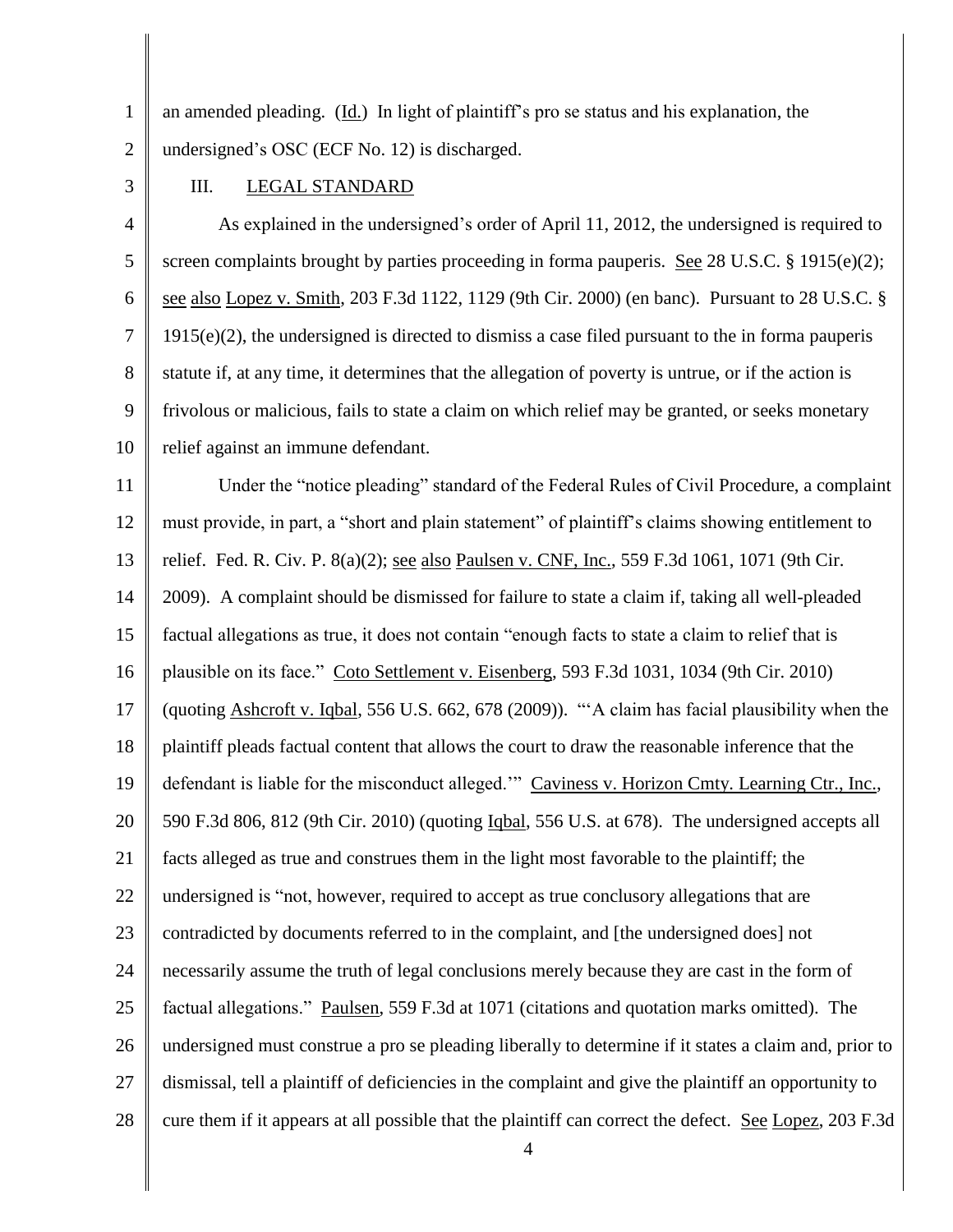1 2 an amended pleading. (Id.) In light of plaintiff's pro se status and his explanation, the undersigned's OSC (ECF No. 12) is discharged.

3

#### III. LEGAL STANDARD

4 5 6 7 8 9 10 As explained in the undersigned's order of April 11, 2012, the undersigned is required to screen complaints brought by parties proceeding in forma pauperis. See 28 U.S.C. § 1915(e)(2); see also Lopez v. Smith, 203 F.3d 1122, 1129 (9th Cir. 2000) (en banc). Pursuant to 28 U.S.C. § 1915(e)(2), the undersigned is directed to dismiss a case filed pursuant to the in forma pauperis statute if, at any time, it determines that the allegation of poverty is untrue, or if the action is frivolous or malicious, fails to state a claim on which relief may be granted, or seeks monetary relief against an immune defendant.

11 12 13 14 15 16 17 18 19 20 21 22 23 24 25 26 27 28 Under the "notice pleading" standard of the Federal Rules of Civil Procedure, a complaint must provide, in part, a "short and plain statement" of plaintiff's claims showing entitlement to relief. Fed. R. Civ. P. 8(a)(2); see also Paulsen v. CNF, Inc., 559 F.3d 1061, 1071 (9th Cir. 2009). A complaint should be dismissed for failure to state a claim if, taking all well-pleaded factual allegations as true, it does not contain "enough facts to state a claim to relief that is plausible on its face." Coto Settlement v. Eisenberg, 593 F.3d 1031, 1034 (9th Cir. 2010) (quoting Ashcroft v. Iqbal, 556 U.S. 662, 678 (2009)). "'A claim has facial plausibility when the plaintiff pleads factual content that allows the court to draw the reasonable inference that the defendant is liable for the misconduct alleged." Caviness v. Horizon Cmty. Learning Ctr., Inc., 590 F.3d 806, 812 (9th Cir. 2010) (quoting Iqbal, 556 U.S. at 678). The undersigned accepts all facts alleged as true and construes them in the light most favorable to the plaintiff; the undersigned is "not, however, required to accept as true conclusory allegations that are contradicted by documents referred to in the complaint, and [the undersigned does] not necessarily assume the truth of legal conclusions merely because they are cast in the form of factual allegations." Paulsen, 559 F.3d at 1071 (citations and quotation marks omitted). The undersigned must construe a pro se pleading liberally to determine if it states a claim and, prior to dismissal, tell a plaintiff of deficiencies in the complaint and give the plaintiff an opportunity to cure them if it appears at all possible that the plaintiff can correct the defect. See Lopez, 203 F.3d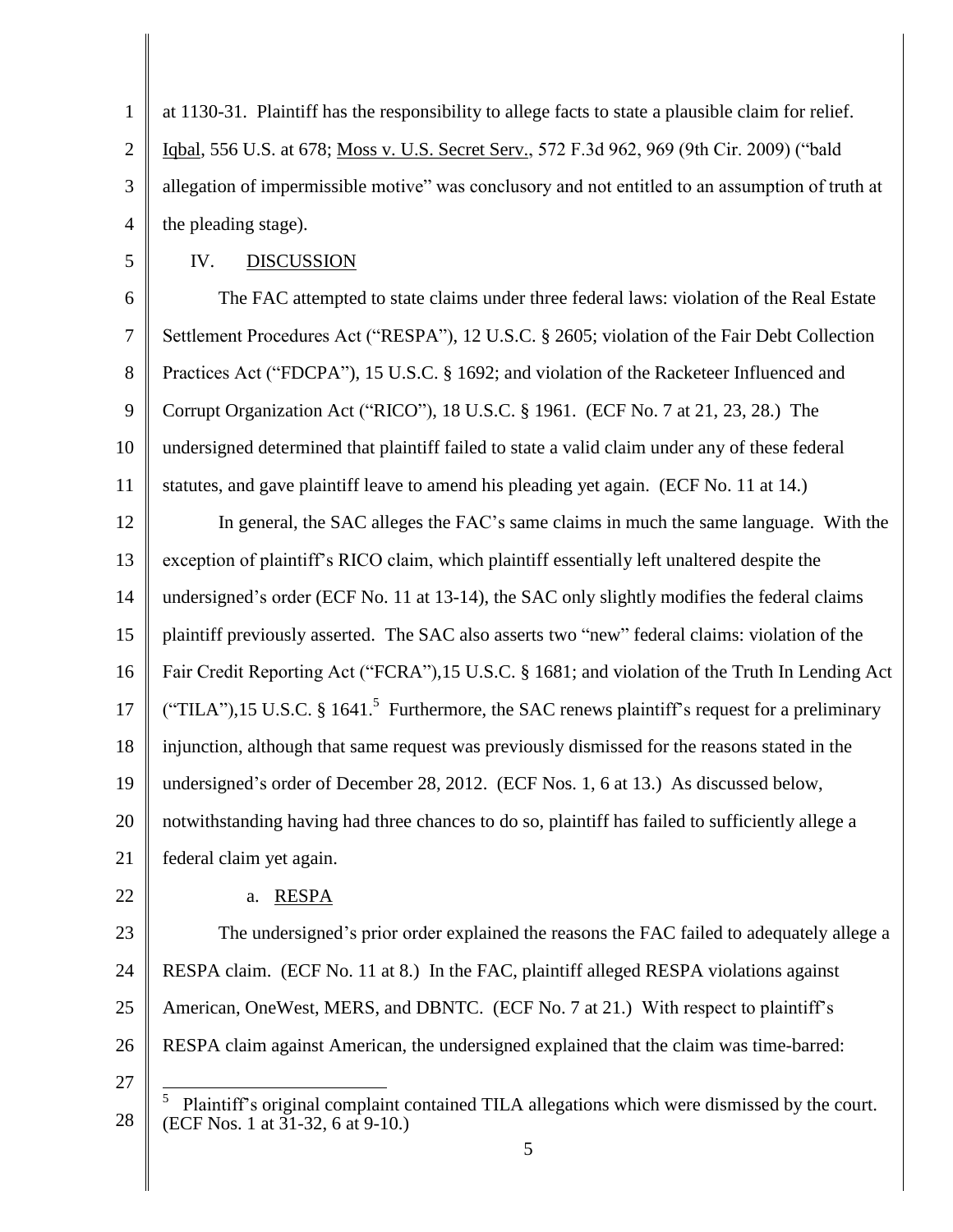1 2 3 4 at 1130-31. Plaintiff has the responsibility to allege facts to state a plausible claim for relief. Iqbal, 556 U.S. at 678; Moss v. U.S. Secret Serv., 572 F.3d 962, 969 (9th Cir. 2009) ("bald allegation of impermissible motive" was conclusory and not entitled to an assumption of truth at the pleading stage).

5

### IV. DISCUSSION

6 7 8 9 10 11 The FAC attempted to state claims under three federal laws: violation of the Real Estate Settlement Procedures Act ("RESPA"), 12 U.S.C. § 2605; violation of the Fair Debt Collection Practices Act ("FDCPA"), 15 U.S.C. § 1692; and violation of the Racketeer Influenced and Corrupt Organization Act ("RICO"), 18 U.S.C. § 1961. (ECF No. 7 at 21, 23, 28.) The undersigned determined that plaintiff failed to state a valid claim under any of these federal statutes, and gave plaintiff leave to amend his pleading yet again. (ECF No. 11 at 14.)

12 13 14 15 16 17 18 19 20 21 In general, the SAC alleges the FAC's same claims in much the same language. With the exception of plaintiff's RICO claim, which plaintiff essentially left unaltered despite the undersigned's order (ECF No. 11 at 13-14), the SAC only slightly modifies the federal claims plaintiff previously asserted. The SAC also asserts two "new" federal claims: violation of the Fair Credit Reporting Act ("FCRA"),15 U.S.C. § 1681; and violation of the Truth In Lending Act ("TILA"),15 U.S.C. § 1641.<sup>5</sup> Furthermore, the SAC renews plaintiff's request for a preliminary injunction, although that same request was previously dismissed for the reasons stated in the undersigned's order of December 28, 2012. (ECF Nos. 1, 6 at 13.) As discussed below, notwithstanding having had three chances to do so, plaintiff has failed to sufficiently allege a federal claim yet again.

22

#### a. RESPA

23 24 25 26 The undersigned's prior order explained the reasons the FAC failed to adequately allege a RESPA claim. (ECF No. 11 at 8.) In the FAC, plaintiff alleged RESPA violations against American, OneWest, MERS, and DBNTC. (ECF No. 7 at 21.) With respect to plaintiff's RESPA claim against American, the undersigned explained that the claim was time-barred:

<sup>28</sup>  $\overline{a}$ 5 Plaintiff's original complaint contained TILA allegations which were dismissed by the court. (ECF Nos. 1 at 31-32, 6 at 9-10.)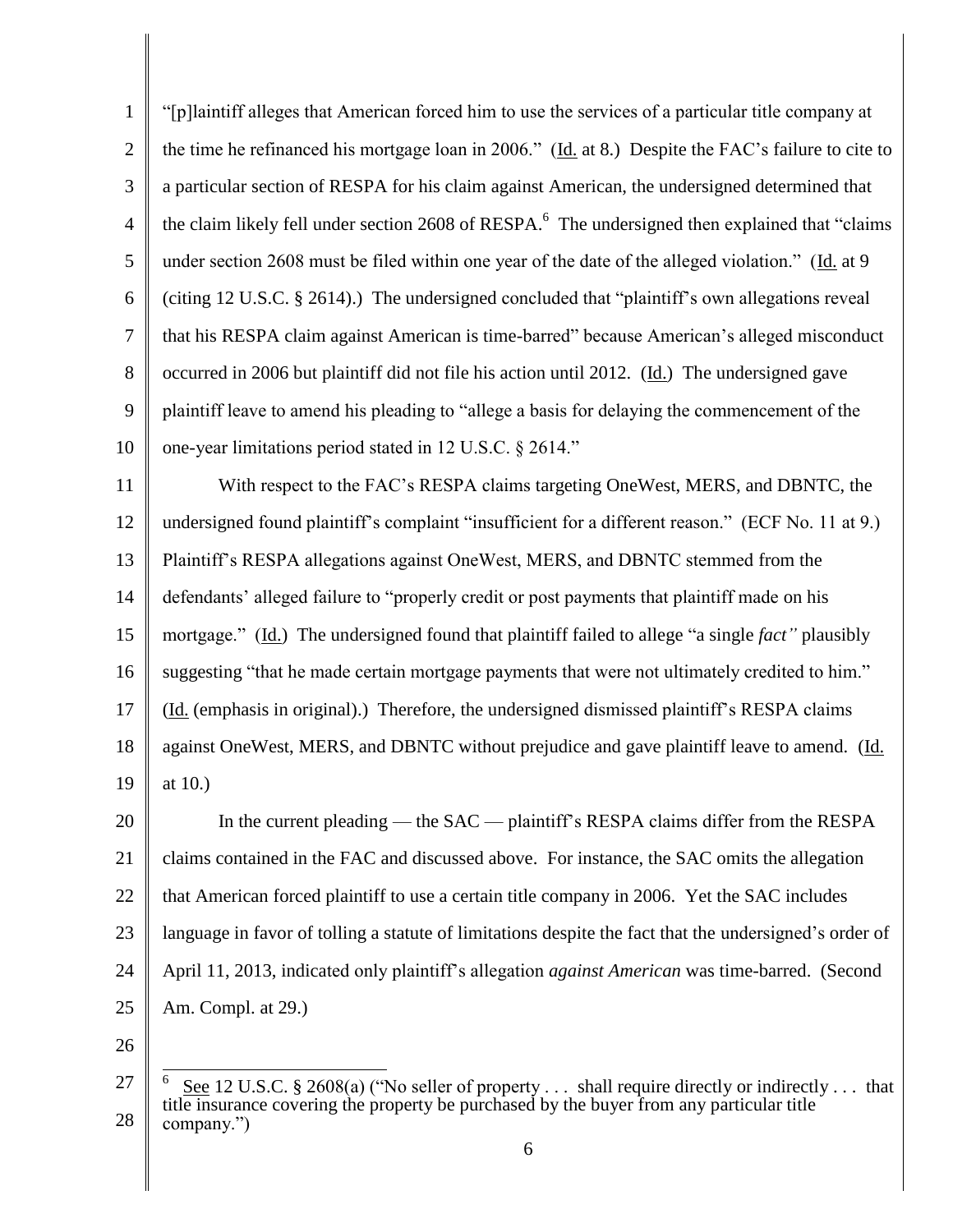1 2 3 4 5 6 7 8 9 10 11 "[p]laintiff alleges that American forced him to use the services of a particular title company at the time he refinanced his mortgage loan in 2006." (Id. at 8.) Despite the FAC's failure to cite to a particular section of RESPA for his claim against American, the undersigned determined that the claim likely fell under section 2608 of RESPA.<sup>6</sup> The undersigned then explained that "claims" under section 2608 must be filed within one year of the date of the alleged violation." (Id. at 9 (citing 12 U.S.C. § 2614).) The undersigned concluded that "plaintiff's own allegations reveal that his RESPA claim against American is time-barred" because American's alleged misconduct occurred in 2006 but plaintiff did not file his action until 2012. (Id.) The undersigned gave plaintiff leave to amend his pleading to "allege a basis for delaying the commencement of the one-year limitations period stated in 12 U.S.C. § 2614." With respect to the FAC's RESPA claims targeting OneWest, MERS, and DBNTC, the

12 13 14 15 16 17 18 19 undersigned found plaintiff's complaint "insufficient for a different reason." (ECF No. 11 at 9.) Plaintiff's RESPA allegations against OneWest, MERS, and DBNTC stemmed from the defendants' alleged failure to "properly credit or post payments that plaintiff made on his mortgage." (Id.) The undersigned found that plaintiff failed to allege "a single *fact"* plausibly suggesting "that he made certain mortgage payments that were not ultimately credited to him." (Id. (emphasis in original).) Therefore, the undersigned dismissed plaintiff's RESPA claims against OneWest, MERS, and DBNTC without prejudice and gave plaintiff leave to amend. (Id. at 10.)

20 21 22 23 24 25 In the current pleading — the SAC — plaintiff's RESPA claims differ from the RESPA claims contained in the FAC and discussed above. For instance, the SAC omits the allegation that American forced plaintiff to use a certain title company in 2006. Yet the SAC includes language in favor of tolling a statute of limitations despite the fact that the undersigned's order of April 11, 2013, indicated only plaintiff's allegation *against American* was time-barred. (Second Am. Compl. at 29.)

<sup>27</sup> 28  $\overline{\phantom{a}}$ 6 See 12 U.S.C. § 2608(a) ("No seller of property . . . shall require directly or indirectly . . . that title insurance covering the property be purchased by the buyer from any particular title company.")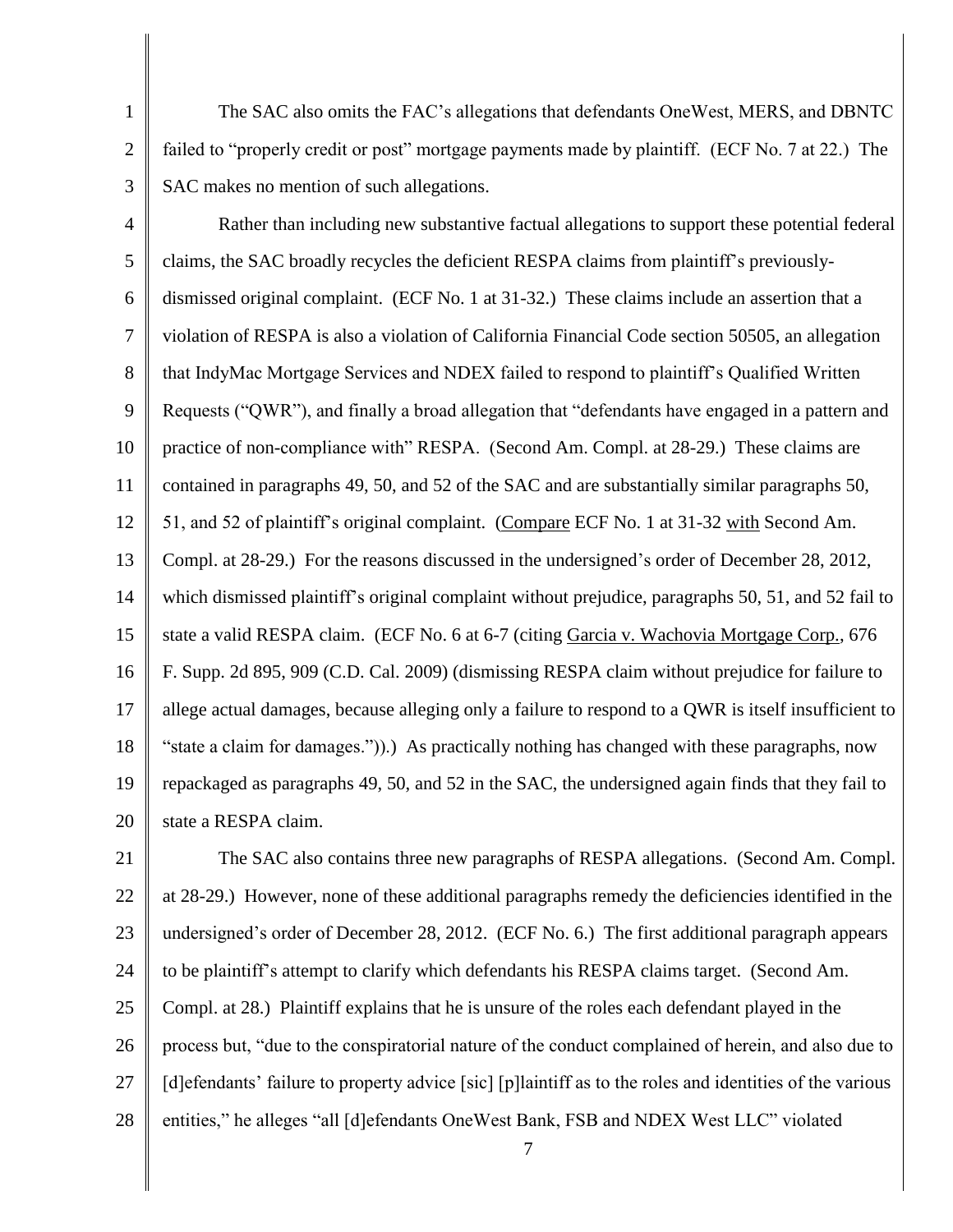The SAC also omits the FAC's allegations that defendants OneWest, MERS, and DBNTC failed to "properly credit or post" mortgage payments made by plaintiff. (ECF No. 7 at 22.) The SAC makes no mention of such allegations.

1

2

3

4 5 6 7 8 9 10 11 12 13 14 15 16 17 18 19 20 Rather than including new substantive factual allegations to support these potential federal claims, the SAC broadly recycles the deficient RESPA claims from plaintiff's previouslydismissed original complaint. (ECF No. 1 at 31-32.) These claims include an assertion that a violation of RESPA is also a violation of California Financial Code section 50505, an allegation that IndyMac Mortgage Services and NDEX failed to respond to plaintiff's Qualified Written Requests ("QWR"), and finally a broad allegation that "defendants have engaged in a pattern and practice of non-compliance with" RESPA. (Second Am. Compl. at 28-29.) These claims are contained in paragraphs 49, 50, and 52 of the SAC and are substantially similar paragraphs 50, 51, and 52 of plaintiff's original complaint. (Compare ECF No. 1 at 31-32 with Second Am. Compl. at 28-29.) For the reasons discussed in the undersigned's order of December 28, 2012, which dismissed plaintiff's original complaint without prejudice, paragraphs 50, 51, and 52 fail to state a valid RESPA claim. (ECF No. 6 at 6-7 (citing Garcia v. Wachovia Mortgage Corp., 676 F. Supp. 2d 895, 909 (C.D. Cal. 2009) (dismissing RESPA claim without prejudice for failure to allege actual damages, because alleging only a failure to respond to a QWR is itself insufficient to "state a claim for damages.")).) As practically nothing has changed with these paragraphs, now repackaged as paragraphs 49, 50, and 52 in the SAC, the undersigned again finds that they fail to state a RESPA claim.

21 22 23 24 25 26 27 28 The SAC also contains three new paragraphs of RESPA allegations. (Second Am. Compl. at 28-29.) However, none of these additional paragraphs remedy the deficiencies identified in the undersigned's order of December 28, 2012. (ECF No. 6.) The first additional paragraph appears to be plaintiff's attempt to clarify which defendants his RESPA claims target. (Second Am. Compl. at 28.) Plaintiff explains that he is unsure of the roles each defendant played in the process but, "due to the conspiratorial nature of the conduct complained of herein, and also due to [d]efendants' failure to property advice [sic] [p]laintiff as to the roles and identities of the various entities," he alleges "all [d]efendants OneWest Bank, FSB and NDEX West LLC" violated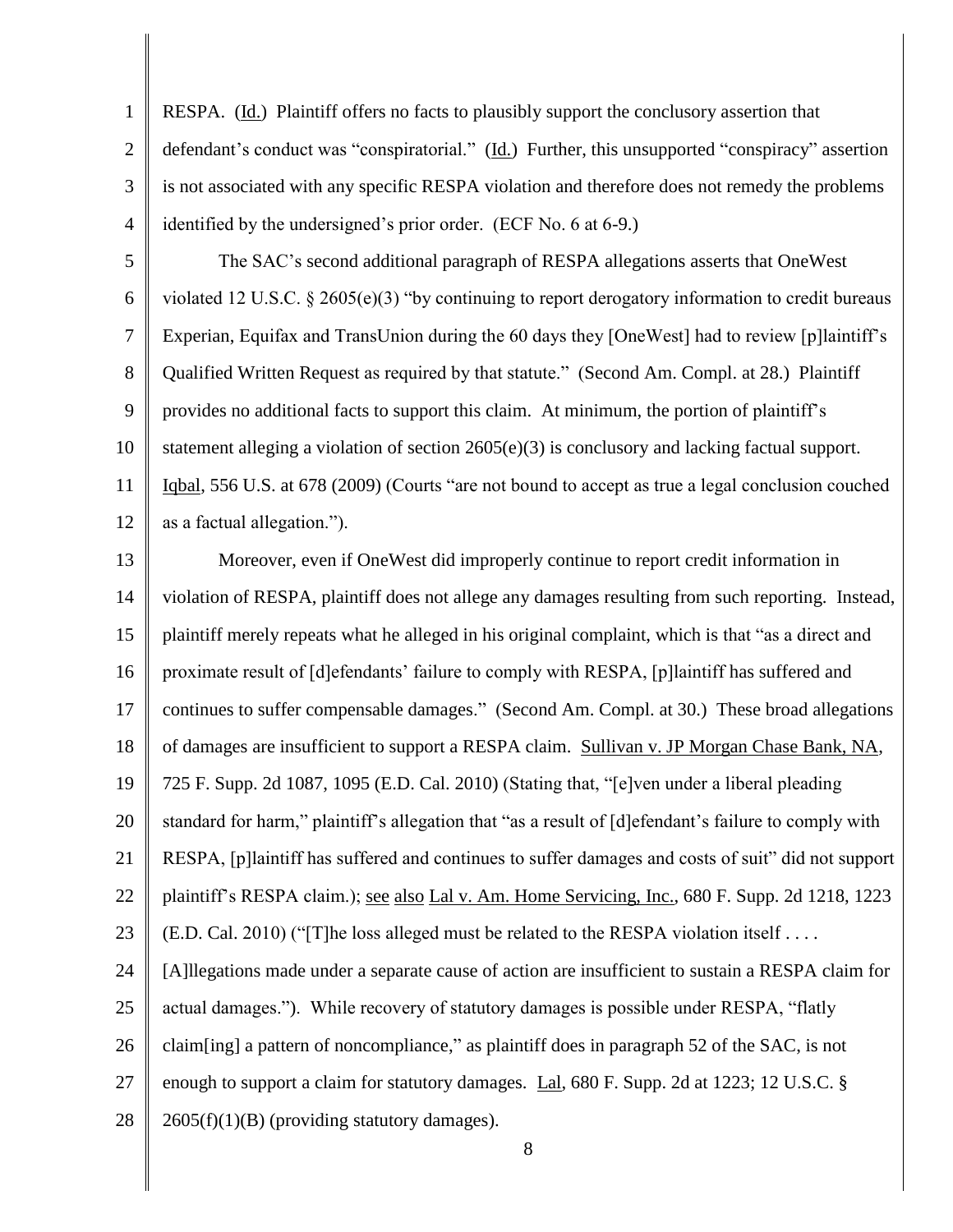1 2 3 4 RESPA. (Id.) Plaintiff offers no facts to plausibly support the conclusory assertion that defendant's conduct was "conspiratorial." (Id.) Further, this unsupported "conspiracy" assertion is not associated with any specific RESPA violation and therefore does not remedy the problems identified by the undersigned's prior order. (ECF No. 6 at 6-9.)

5 6 7 8 9 10 11 12 The SAC's second additional paragraph of RESPA allegations asserts that OneWest violated 12 U.S.C. § 2605(e)(3) "by continuing to report derogatory information to credit bureaus Experian, Equifax and TransUnion during the 60 days they [OneWest] had to review [p]laintiff's Qualified Written Request as required by that statute." (Second Am. Compl. at 28.) Plaintiff provides no additional facts to support this claim. At minimum, the portion of plaintiff's statement alleging a violation of section  $2605(e)(3)$  is conclusory and lacking factual support. Iqbal, 556 U.S. at 678 (2009) (Courts "are not bound to accept as true a legal conclusion couched as a factual allegation.").

13 14 15 16 17 18 19 20 21 22 23 24 25 26 27 28 Moreover, even if OneWest did improperly continue to report credit information in violation of RESPA, plaintiff does not allege any damages resulting from such reporting. Instead, plaintiff merely repeats what he alleged in his original complaint, which is that "as a direct and proximate result of [d]efendants' failure to comply with RESPA, [p]laintiff has suffered and continues to suffer compensable damages." (Second Am. Compl. at 30.) These broad allegations of damages are insufficient to support a RESPA claim. Sullivan v. JP Morgan Chase Bank, NA, 725 F. Supp. 2d 1087, 1095 (E.D. Cal. 2010) (Stating that, "[e]ven under a liberal pleading standard for harm," plaintiff's allegation that "as a result of [d]efendant's failure to comply with RESPA, [p]laintiff has suffered and continues to suffer damages and costs of suit" did not support plaintiff's RESPA claim.); see also Lal v. Am. Home Servicing, Inc., 680 F. Supp. 2d 1218, 1223  $(ED. Cal. 2010)$  ("[T]he loss alleged must be related to the RESPA violation itself ... [A]llegations made under a separate cause of action are insufficient to sustain a RESPA claim for actual damages."). While recovery of statutory damages is possible under RESPA, "flatly claim[ing] a pattern of noncompliance," as plaintiff does in paragraph 52 of the SAC, is not enough to support a claim for statutory damages. Lal, 680 F. Supp. 2d at 1223; 12 U.S.C. §  $2605(f)(1)(B)$  (providing statutory damages).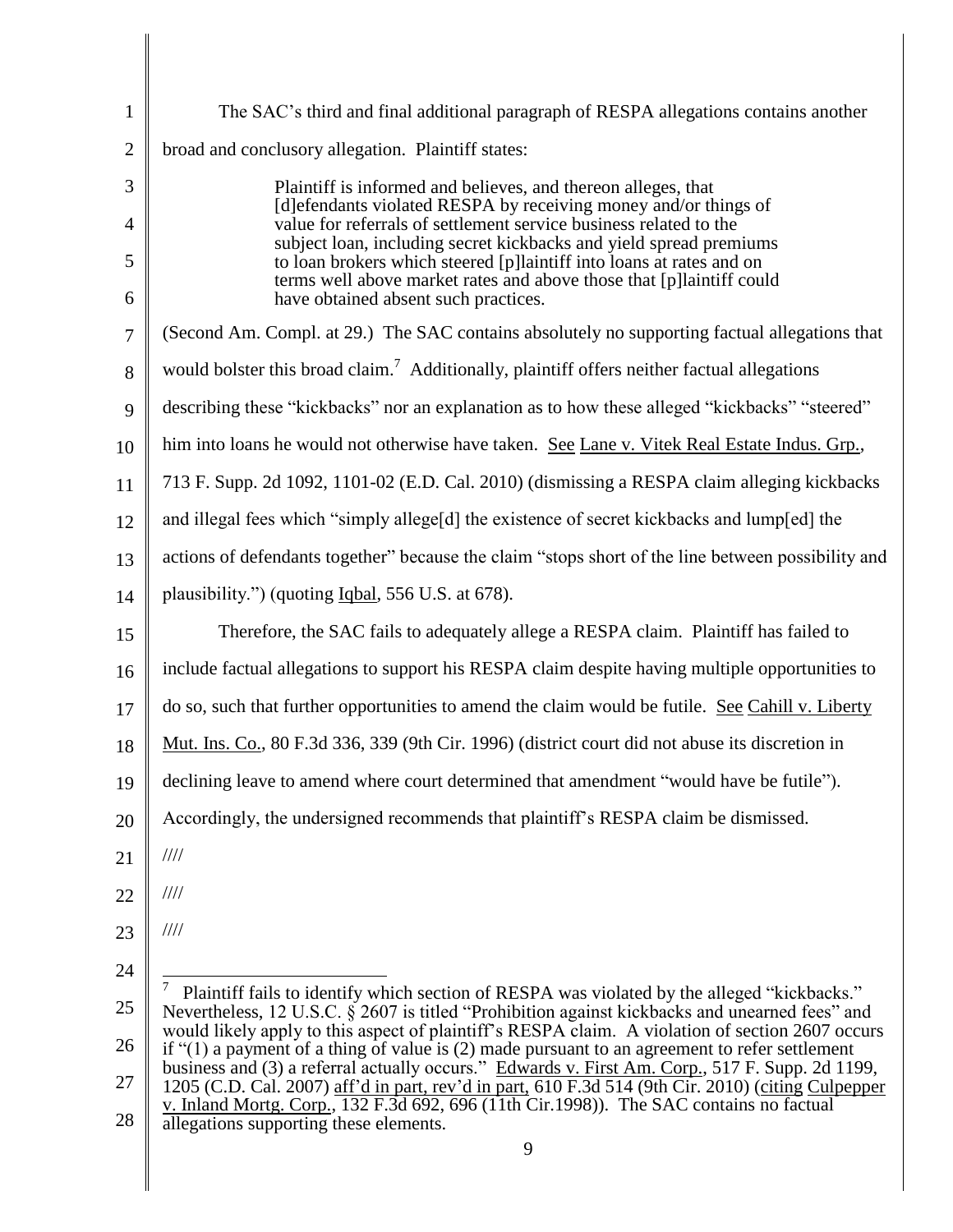| $\mathbf{1}$   | The SAC's third and final additional paragraph of RESPA allegations contains another                                                                                                                  |
|----------------|-------------------------------------------------------------------------------------------------------------------------------------------------------------------------------------------------------|
| $\overline{2}$ | broad and conclusory allegation. Plaintiff states:                                                                                                                                                    |
| 3              | Plaintiff is informed and believes, and thereon alleges, that                                                                                                                                         |
| $\overline{4}$ | [d] efendants violated RESPA by receiving money and/or things of<br>value for referrals of settlement service business related to the                                                                 |
| 5              | subject loan, including secret kickbacks and yield spread premiums<br>to loan brokers which steered [p]laintiff into loans at rates and on                                                            |
| 6              | terms well above market rates and above those that [p]laintiff could<br>have obtained absent such practices.                                                                                          |
| 7              | (Second Am. Compl. at 29.) The SAC contains absolutely no supporting factual allegations that                                                                                                         |
| 8              | would bolster this broad claim. <sup>7</sup> Additionally, plaintiff offers neither factual allegations                                                                                               |
| 9              | describing these "kickbacks" nor an explanation as to how these alleged "kickbacks" "steered"                                                                                                         |
| 10             | him into loans he would not otherwise have taken. See Lane v. Vitek Real Estate Indus. Grp.,                                                                                                          |
| 11             | 713 F. Supp. 2d 1092, 1101-02 (E.D. Cal. 2010) (dismissing a RESPA claim alleging kickbacks                                                                                                           |
| 12             | and illegal fees which "simply allege[d] the existence of secret kickbacks and lump[ed] the                                                                                                           |
| 13             | actions of defendants together" because the claim "stops short of the line between possibility and                                                                                                    |
| 14             | plausibility.") (quoting Iqbal, 556 U.S. at 678).                                                                                                                                                     |
| 15             | Therefore, the SAC fails to adequately allege a RESPA claim. Plaintiff has failed to                                                                                                                  |
| 16             | include factual allegations to support his RESPA claim despite having multiple opportunities to                                                                                                       |
| 17             | do so, such that further opportunities to amend the claim would be futile. See Cahill v. Liberty                                                                                                      |
| 18             | Mut. Ins. Co., 80 F.3d 336, 339 (9th Cir. 1996) (district court did not abuse its discretion in                                                                                                       |
| 19             | declining leave to amend where court determined that amendment "would have be futile").                                                                                                               |
| 20             | Accordingly, the undersigned recommends that plaintiff's RESPA claim be dismissed.                                                                                                                    |
| 21             | $\frac{1}{1}$                                                                                                                                                                                         |
| 22             | $\frac{1}{1}$                                                                                                                                                                                         |
| 23             | $\frac{1}{1}$                                                                                                                                                                                         |
| 24             |                                                                                                                                                                                                       |
| 25             | 7<br>Plaintiff fails to identify which section of RESPA was violated by the alleged "kickbacks."<br>Nevertheless, 12 U.S.C. § 2607 is titled "Prohibition against kickbacks and unearned fees" and    |
| 26             | would likely apply to this aspect of plaintiff's RESPA claim. A violation of section 2607 occurs<br>if $(1)$ a payment of a thing of value is (2) made pursuant to an agreement to refer settlement   |
| 27             | business and (3) a referral actually occurs." Edwards v. First Am. Corp., 517 F. Supp. 2d 1199,<br>1205 (C.D. Cal. 2007) aff'd in part, rev'd in part, 610 F.3d 514 (9th Cir. 2010) (citing Culpepper |
| 28             | v. Inland Mortg. Corp., 132 F.3d 692, 696 (11th Cir.1998)). The SAC contains no factual<br>allegations supporting these elements.                                                                     |
|                | 9                                                                                                                                                                                                     |

 $\parallel$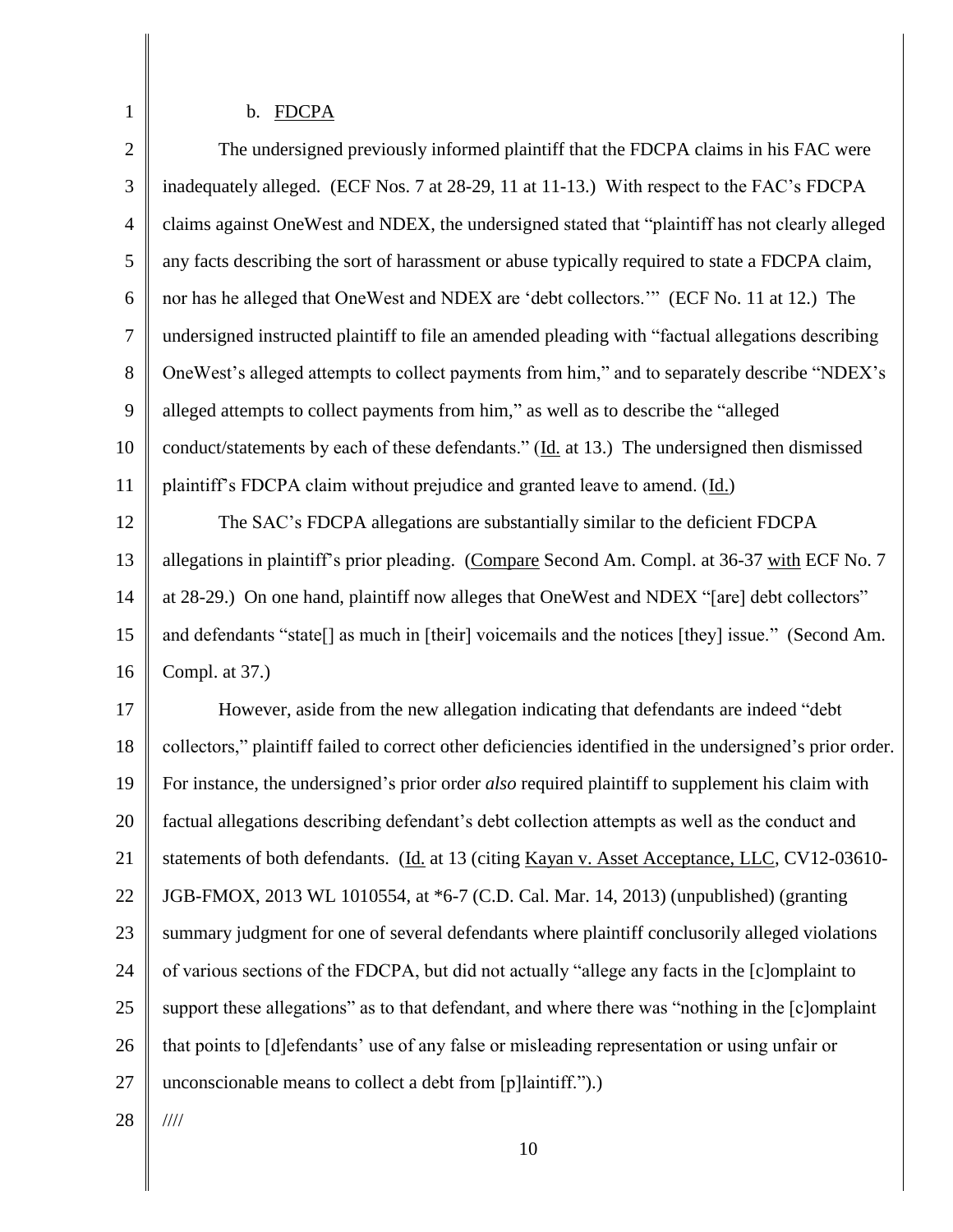# b. FDCPA

| $\overline{2}$ | The undersigned previously informed plaintiff that the FDCPA claims in his FAC were                      |
|----------------|----------------------------------------------------------------------------------------------------------|
| 3              | inadequately alleged. (ECF Nos. 7 at 28-29, 11 at 11-13.) With respect to the FAC's FDCPA                |
| $\overline{4}$ | claims against OneWest and NDEX, the undersigned stated that "plaintiff has not clearly alleged          |
| 5              | any facts describing the sort of harassment or abuse typically required to state a FDCPA claim,          |
| 6              | nor has he alleged that OneWest and NDEX are 'debt collectors."" (ECF No. 11 at 12.) The                 |
| $\overline{7}$ | undersigned instructed plaintiff to file an amended pleading with "factual allegations describing        |
| 8              | One West's alleged attempts to collect payments from him," and to separately describe "NDEX's            |
| 9              | alleged attempts to collect payments from him," as well as to describe the "alleged"                     |
| 10             | conduct/statements by each of these defendants." (Id. at 13.) The undersigned then dismissed             |
| 11             | plaintiff's FDCPA claim without prejudice and granted leave to amend. (Id.)                              |
| 12             | The SAC's FDCPA allegations are substantially similar to the deficient FDCPA                             |
| 13             | allegations in plaintiff's prior pleading. (Compare Second Am. Compl. at 36-37 with ECF No. 7            |
| 14             | at 28-29.) On one hand, plaintiff now alleges that OneWest and NDEX "[are] debt collectors"              |
| 15             | and defendants "state[] as much in [their] voicemails and the notices [they] issue." (Second Am.         |
| 16             | Compl. at 37.)                                                                                           |
| 17             | However, aside from the new allegation indicating that defendants are indeed "debt                       |
| 18             | collectors," plaintiff failed to correct other deficiencies identified in the undersigned's prior order. |
| 19             | For instance, the undersigned's prior order <i>also</i> required plaintiff to supplement his claim with  |
| 20             | factual allegations describing defendant's debt collection attempts as well as the conduct and           |
| 21             | statements of both defendants. (Id. at 13 (citing Kayan v. Asset Acceptance, LLC, CV12-03610-            |
| 22             | JGB-FMOX, 2013 WL 1010554, at *6-7 (C.D. Cal. Mar. 14, 2013) (unpublished) (granting                     |
| 23             | summary judgment for one of several defendants where plaintiff conclusorily alleged violations           |
| 24             | of various sections of the FDCPA, but did not actually "allege any facts in the [c]omplaint to           |
| 25             | support these allegations" as to that defendant, and where there was "nothing in the [c]omplaint         |
| 26             | that points to [d]efendants' use of any false or misleading representation or using unfair or            |
| 27             | unconscionable means to collect a debt from [p]laintiff.").)                                             |
| 28             | $\frac{1}{1}$                                                                                            |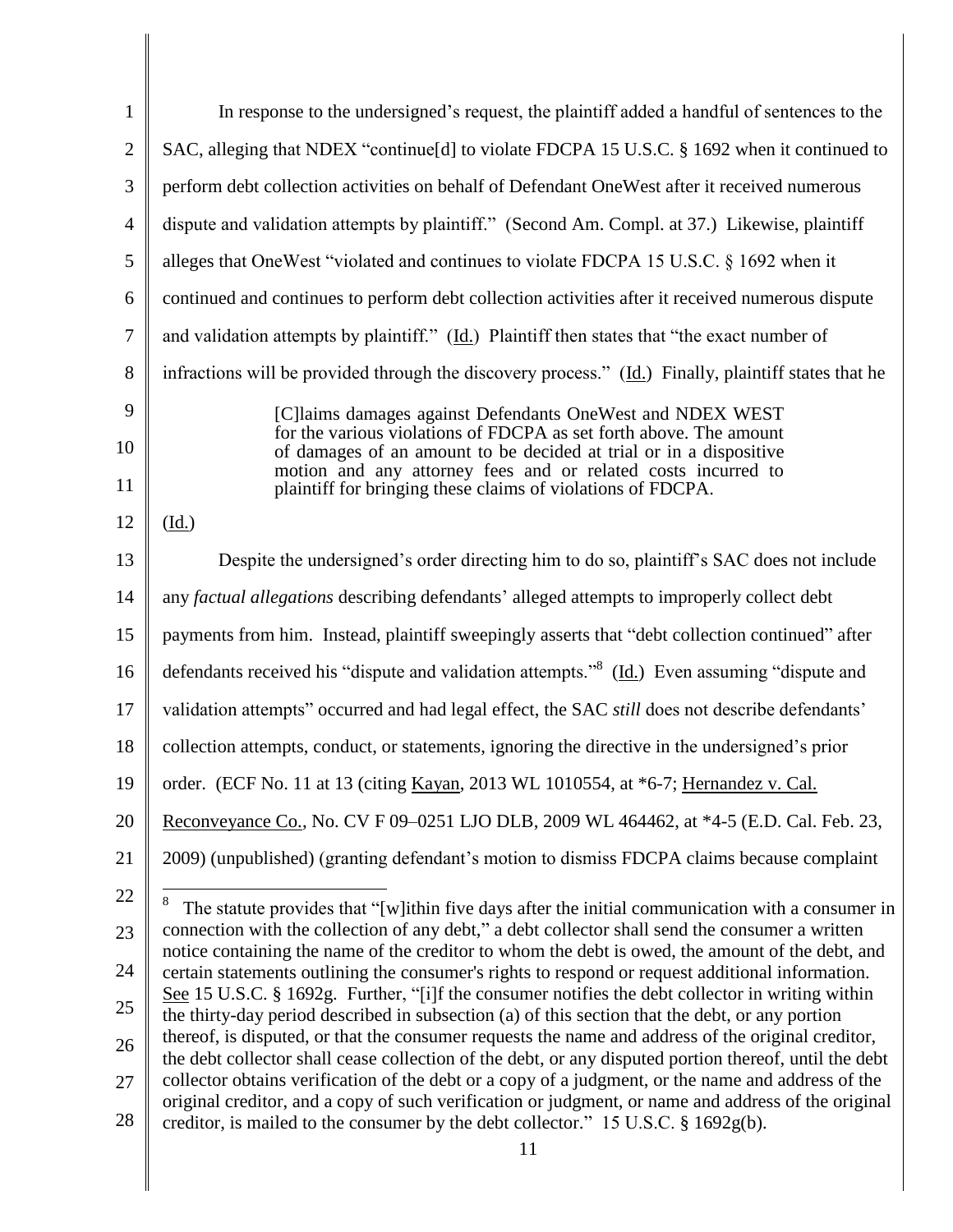| $\mathbf{1}$   | In response to the undersigned's request, the plaintiff added a handful of sentences to the                                                                                                                                                                                                                                           |
|----------------|---------------------------------------------------------------------------------------------------------------------------------------------------------------------------------------------------------------------------------------------------------------------------------------------------------------------------------------|
| $\overline{2}$ | SAC, alleging that NDEX "continue[d] to violate FDCPA 15 U.S.C. § 1692 when it continued to                                                                                                                                                                                                                                           |
| $\mathfrak{Z}$ | perform debt collection activities on behalf of Defendant OneWest after it received numerous                                                                                                                                                                                                                                          |
| $\overline{4}$ | dispute and validation attempts by plaintiff." (Second Am. Compl. at 37.) Likewise, plaintiff                                                                                                                                                                                                                                         |
| 5              | alleges that OneWest "violated and continues to violate FDCPA 15 U.S.C. § 1692 when it                                                                                                                                                                                                                                                |
| 6              | continued and continues to perform debt collection activities after it received numerous dispute                                                                                                                                                                                                                                      |
| 7              | and validation attempts by plaintiff." (Id.) Plaintiff then states that "the exact number of                                                                                                                                                                                                                                          |
| 8              | infractions will be provided through the discovery process." (Id.) Finally, plaintiff states that he                                                                                                                                                                                                                                  |
| 9<br>10<br>11  | [C]laims damages against Defendants OneWest and NDEX WEST<br>for the various violations of FDCPA as set forth above. The amount<br>of damages of an amount to be decided at trial or in a dispositive<br>motion and any attorney fees and or related costs incurred to<br>plaintiff for bringing these claims of violations of FDCPA. |
| 12             | $(\underline{Id.})$                                                                                                                                                                                                                                                                                                                   |
| 13             | Despite the undersigned's order directing him to do so, plaintiff's SAC does not include                                                                                                                                                                                                                                              |
| 14             | any factual allegations describing defendants' alleged attempts to improperly collect debt                                                                                                                                                                                                                                            |
| 15             | payments from him. Instead, plaintiff sweepingly asserts that "debt collection continued" after                                                                                                                                                                                                                                       |
| 16             | defendants received his "dispute and validation attempts." <sup>8</sup> (Id.) Even assuming "dispute and                                                                                                                                                                                                                              |
| 17             | validation attempts" occurred and had legal effect, the SAC still does not describe defendants'                                                                                                                                                                                                                                       |
| 18             | collection attempts, conduct, or statements, ignoring the directive in the undersigned's prior                                                                                                                                                                                                                                        |
| 19             | order. (ECF No. 11 at 13 (citing Kayan, 2013 WL 1010554, at *6-7; Hernandez v. Cal.                                                                                                                                                                                                                                                   |
| 20             | Reconveyance Co., No. CV F 09-0251 LJO DLB, 2009 WL 464462, at *4-5 (E.D. Cal. Feb. 23,                                                                                                                                                                                                                                               |
| 21             | 2009) (unpublished) (granting defendant's motion to dismiss FDCPA claims because complaint                                                                                                                                                                                                                                            |
| 22             | 8<br>The statute provides that "[w]ithin five days after the initial communication with a consumer in                                                                                                                                                                                                                                 |
| 23             | connection with the collection of any debt," a debt collector shall send the consumer a written<br>notice containing the name of the creditor to whom the debt is owed, the amount of the debt, and                                                                                                                                   |
| 24             | certain statements outlining the consumer's rights to respond or request additional information.                                                                                                                                                                                                                                      |
| 25             | See 15 U.S.C. § 1692g. Further, "[i]f the consumer notifies the debt collector in writing within<br>the thirty-day period described in subsection (a) of this section that the debt, or any portion                                                                                                                                   |
| 26             | thereof, is disputed, or that the consumer requests the name and address of the original creditor,<br>the debt collector shall cease collection of the debt, or any disputed portion thereof, until the debt                                                                                                                          |
| 27             | collector obtains verification of the debt or a copy of a judgment, or the name and address of the<br>original creditor, and a copy of such verification or judgment, or name and address of the original                                                                                                                             |
| 28             | creditor, is mailed to the consumer by the debt collector." 15 U.S.C. § 1692g(b).                                                                                                                                                                                                                                                     |
|                | 11                                                                                                                                                                                                                                                                                                                                    |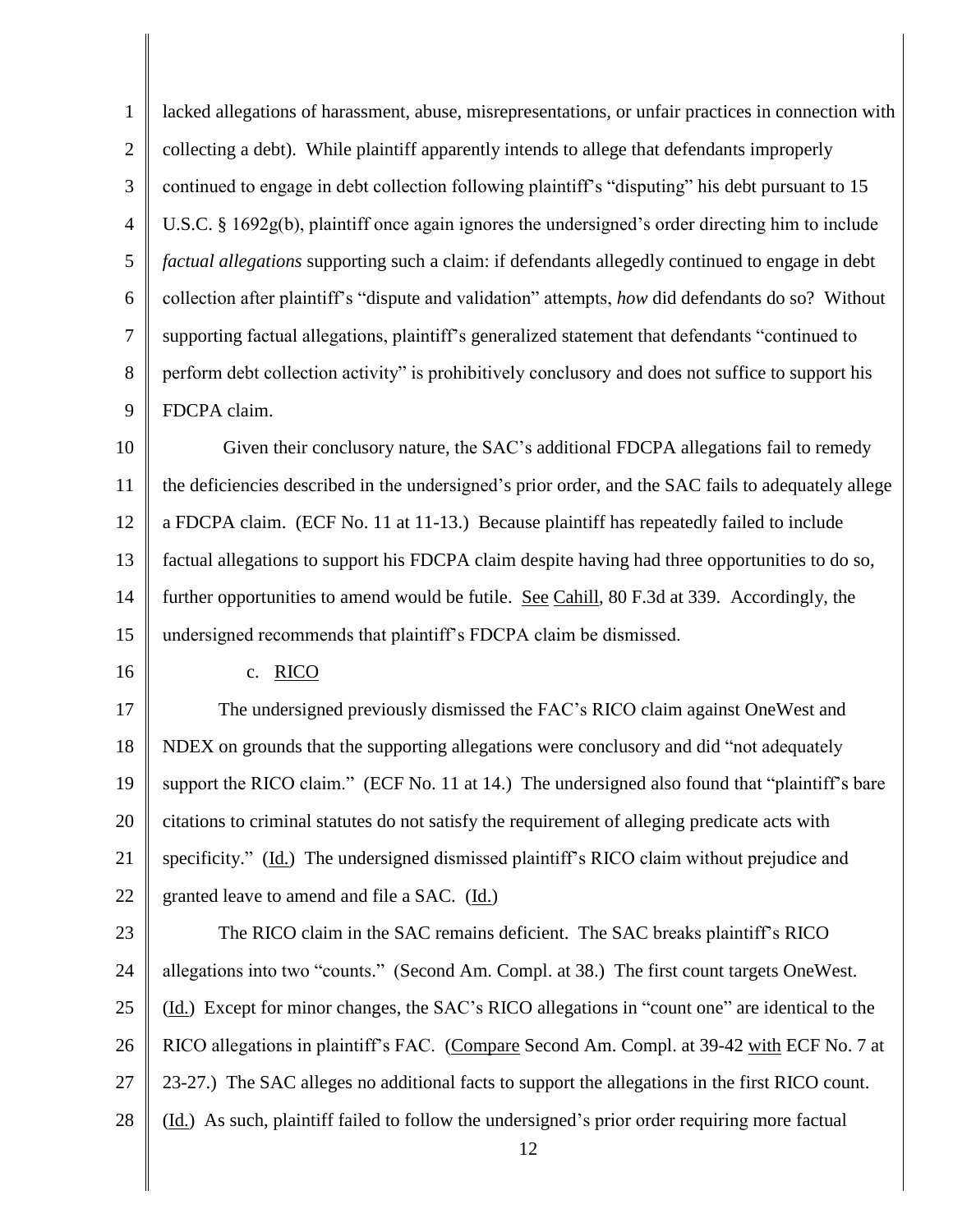1 2 3 4 5 6 7 8 9 lacked allegations of harassment, abuse, misrepresentations, or unfair practices in connection with collecting a debt). While plaintiff apparently intends to allege that defendants improperly continued to engage in debt collection following plaintiff's "disputing" his debt pursuant to 15 U.S.C. § 1692g(b), plaintiff once again ignores the undersigned's order directing him to include *factual allegations* supporting such a claim: if defendants allegedly continued to engage in debt collection after plaintiff's "dispute and validation" attempts, *how* did defendants do so? Without supporting factual allegations, plaintiff's generalized statement that defendants "continued to perform debt collection activity" is prohibitively conclusory and does not suffice to support his FDCPA claim.

10 11 12 13 14 15 Given their conclusory nature, the SAC's additional FDCPA allegations fail to remedy the deficiencies described in the undersigned's prior order, and the SAC fails to adequately allege a FDCPA claim. (ECF No. 11 at 11-13.) Because plaintiff has repeatedly failed to include factual allegations to support his FDCPA claim despite having had three opportunities to do so, further opportunities to amend would be futile. See Cahill, 80 F.3d at 339. Accordingly, the undersigned recommends that plaintiff's FDCPA claim be dismissed.

16

c. RICO

17 18 19 20 21 22 The undersigned previously dismissed the FAC's RICO claim against OneWest and NDEX on grounds that the supporting allegations were conclusory and did "not adequately support the RICO claim." (ECF No. 11 at 14.) The undersigned also found that "plaintiff's bare citations to criminal statutes do not satisfy the requirement of alleging predicate acts with specificity." (Id.) The undersigned dismissed plaintiff's RICO claim without prejudice and granted leave to amend and file a SAC. (Id.)

23 24 25 26 27 28 The RICO claim in the SAC remains deficient. The SAC breaks plaintiff's RICO allegations into two "counts." (Second Am. Compl. at 38.) The first count targets OneWest. (Id.) Except for minor changes, the SAC's RICO allegations in "count one" are identical to the RICO allegations in plaintiff's FAC. (Compare Second Am. Compl. at 39-42 with ECF No. 7 at 23-27.) The SAC alleges no additional facts to support the allegations in the first RICO count. (Id.) As such, plaintiff failed to follow the undersigned's prior order requiring more factual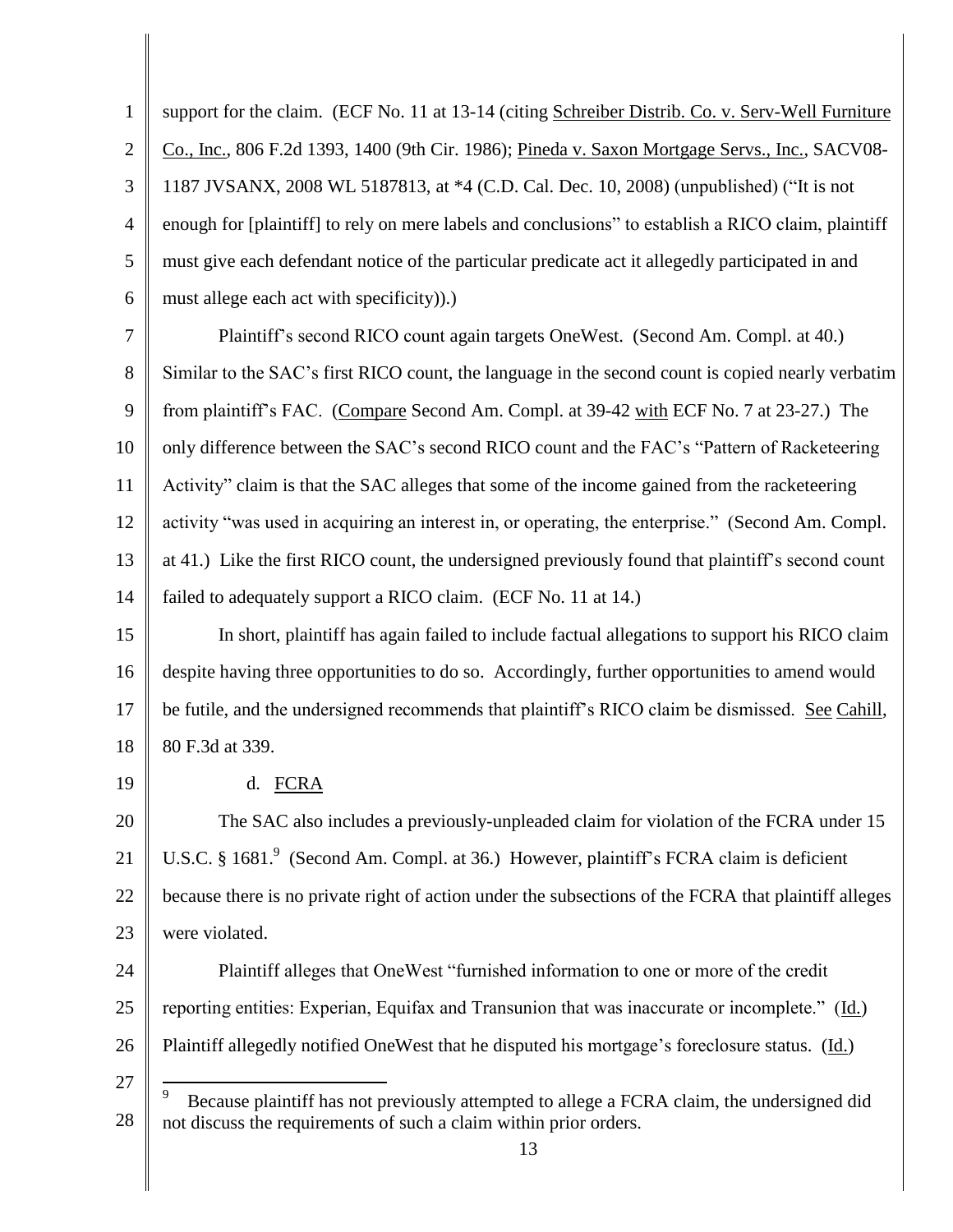1 2 3 4 5 6 support for the claim. (ECF No. 11 at 13-14 (citing Schreiber Distrib. Co. v. Serv-Well Furniture Co., Inc., 806 F.2d 1393, 1400 (9th Cir. 1986); Pineda v. Saxon Mortgage Servs., Inc., SACV08- 1187 JVSANX, 2008 WL 5187813, at \*4 (C.D. Cal. Dec. 10, 2008) (unpublished) ("It is not enough for [plaintiff] to rely on mere labels and conclusions" to establish a RICO claim, plaintiff must give each defendant notice of the particular predicate act it allegedly participated in and must allege each act with specificity)).)

7 8 9 10 11 12 13 14 Plaintiff's second RICO count again targets OneWest. (Second Am. Compl. at 40.) Similar to the SAC's first RICO count, the language in the second count is copied nearly verbatim from plaintiff's FAC. (Compare Second Am. Compl. at 39-42 with ECF No. 7 at 23-27.) The only difference between the SAC's second RICO count and the FAC's "Pattern of Racketeering Activity" claim is that the SAC alleges that some of the income gained from the racketeering activity "was used in acquiring an interest in, or operating, the enterprise." (Second Am. Compl. at 41.) Like the first RICO count, the undersigned previously found that plaintiff's second count failed to adequately support a RICO claim. (ECF No. 11 at 14.)

15 16 17 18 In short, plaintiff has again failed to include factual allegations to support his RICO claim despite having three opportunities to do so. Accordingly, further opportunities to amend would be futile, and the undersigned recommends that plaintiff's RICO claim be dismissed. See Cahill, 80 F.3d at 339.

19

27

d. FCRA

20 21 22 23 The SAC also includes a previously-unpleaded claim for violation of the FCRA under 15 U.S.C. § 1681.<sup>9</sup> (Second Am. Compl. at 36.) However, plaintiff's FCRA claim is deficient because there is no private right of action under the subsections of the FCRA that plaintiff alleges were violated.

24 25 26 Plaintiff alleges that OneWest "furnished information to one or more of the credit reporting entities: Experian, Equifax and Transunion that was inaccurate or incomplete." (Id.) Plaintiff allegedly notified OneWest that he disputed his mortgage's foreclosure status. (Id.)

<sup>28</sup>  $\overline{a}$ 9 Because plaintiff has not previously attempted to allege a FCRA claim, the undersigned did not discuss the requirements of such a claim within prior orders.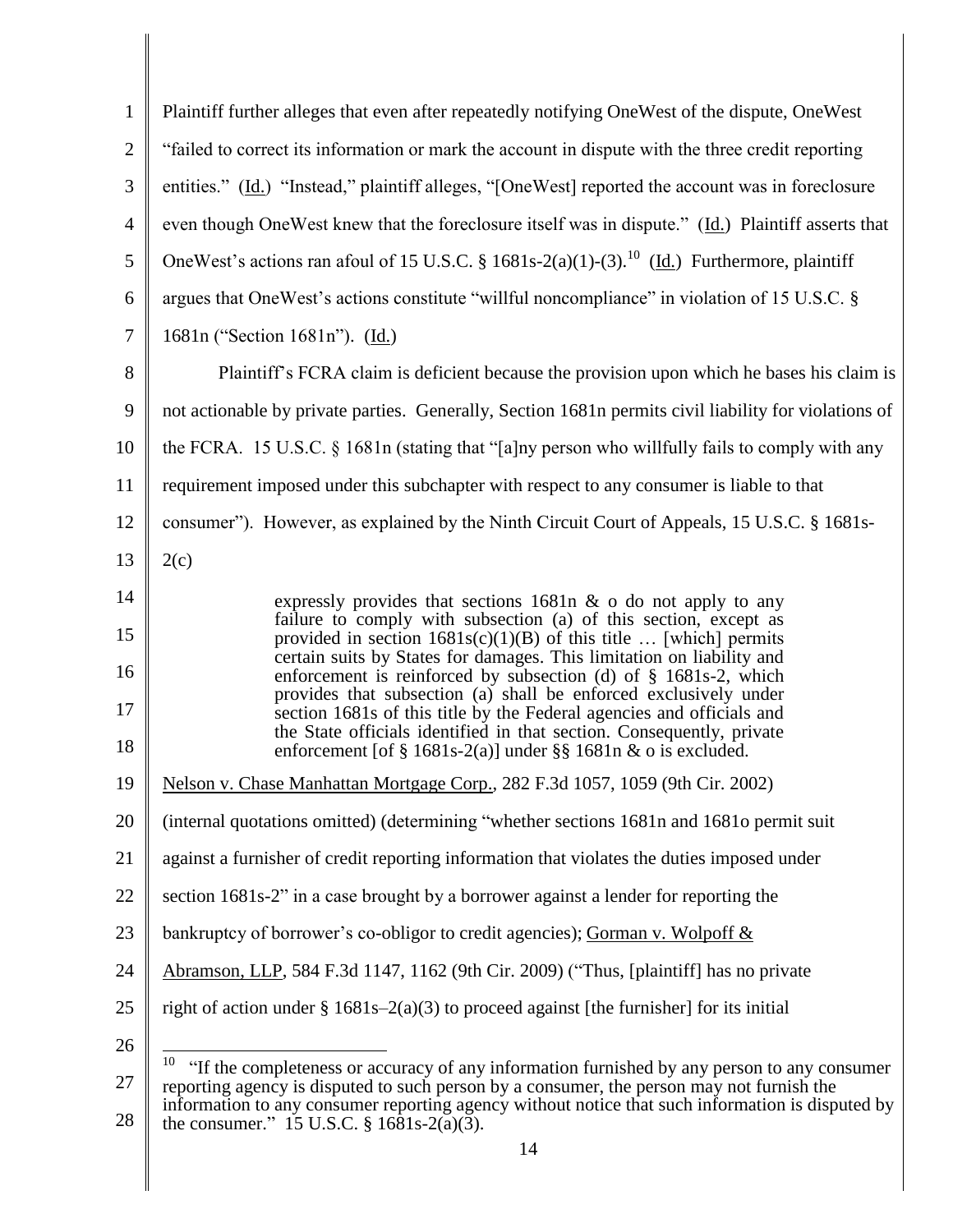| $\mathbf{1}$   | Plaintiff further alleges that even after repeatedly notifying OneWest of the dispute, OneWest                                                                                                                     |
|----------------|--------------------------------------------------------------------------------------------------------------------------------------------------------------------------------------------------------------------|
| $\overline{2}$ | "failed to correct its information or mark the account in dispute with the three credit reporting                                                                                                                  |
| 3              | entities." (Id.) "Instead," plaintiff alleges, "[OneWest] reported the account was in foreclosure                                                                                                                  |
| $\overline{4}$ | even though OneWest knew that the foreclosure itself was in dispute." (Id.) Plaintiff asserts that                                                                                                                 |
| 5              | OneWest's actions ran afoul of 15 U.S.C. § 1681s-2(a)(1)-(3). <sup>10</sup> (Id.) Furthermore, plaintiff                                                                                                           |
| 6              | argues that OneWest's actions constitute "willful noncompliance" in violation of 15 U.S.C. §                                                                                                                       |
| $\overline{7}$ | 1681n ("Section 1681n"). (Id.)                                                                                                                                                                                     |
| 8              | Plaintiff's FCRA claim is deficient because the provision upon which he bases his claim is                                                                                                                         |
| 9              | not actionable by private parties. Generally, Section 1681n permits civil liability for violations of                                                                                                              |
| 10             | the FCRA. 15 U.S.C. $\S$ 1681n (stating that "[a]ny person who willfully fails to comply with any                                                                                                                  |
| 11             | requirement imposed under this subchapter with respect to any consumer is liable to that                                                                                                                           |
| 12             | consumer"). However, as explained by the Ninth Circuit Court of Appeals, 15 U.S.C. § 1681s-                                                                                                                        |
| 13             | 2(c)                                                                                                                                                                                                               |
| 14             | expressly provides that sections $1681n \& o$ do not apply to any                                                                                                                                                  |
| 15             | failure to comply with subsection (a) of this section, except as<br>provided in section $1681s(c)(1)(B)$ of this title  [which] permits                                                                            |
| 16             | certain suits by States for damages. This limitation on liability and<br>enforcement is reinforced by subsection (d) of $\S$ 1681s-2, which                                                                        |
| 17             | provides that subsection (a) shall be enforced exclusively under<br>section 1681s of this title by the Federal agencies and officials and<br>the State officials identified in that section. Consequently, private |
| 18             | enforcement [of $\S$ 1681s-2(a)] under $\S\S$ 1681n & o is excluded.                                                                                                                                               |
| 19             | Nelson v. Chase Manhattan Mortgage Corp., 282 F.3d 1057, 1059 (9th Cir. 2002)                                                                                                                                      |
| 20             | (internal quotations omitted) (determining "whether sections 1681n and 1681o permit suit                                                                                                                           |
| 21             | against a furnisher of credit reporting information that violates the duties imposed under                                                                                                                         |
| 22             | section 1681s-2" in a case brought by a borrower against a lender for reporting the                                                                                                                                |
| 23             | bankruptcy of borrower's co-obligor to credit agencies); Gorman v. Wolpoff $&$                                                                                                                                     |
| 24             | Abramson, LLP, 584 F.3d 1147, 1162 (9th Cir. 2009) ("Thus, [plaintiff] has no private                                                                                                                              |
| 25             | right of action under $\S 1681s-2(a)(3)$ to proceed against [the furnisher] for its initial                                                                                                                        |
| 26             | 10<br>"If the completeness or accuracy of any information furnished by any person to any consumer                                                                                                                  |
| 27             | reporting agency is disputed to such person by a consumer, the person may not furnish the                                                                                                                          |
| $28\,$         | information to any consumer reporting agency without notice that such information is disputed by<br>the consumer." 15 U.S.C. $\S$ 1681s-2(a)(3).                                                                   |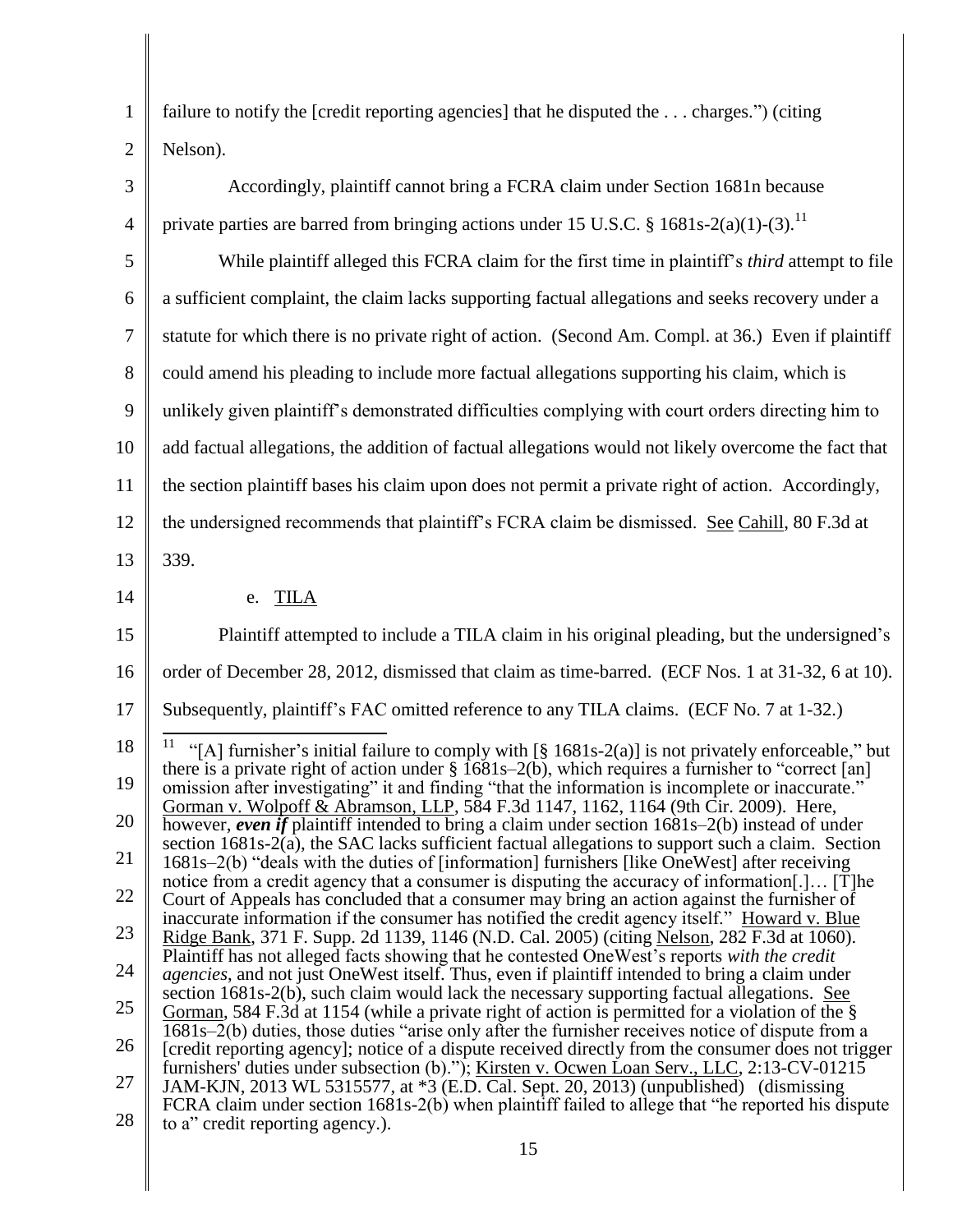| 1              | failure to notify the [credit reporting agencies] that he disputed the  charges.") (citing                                                                                                                                                                                                                                                                                                            |
|----------------|-------------------------------------------------------------------------------------------------------------------------------------------------------------------------------------------------------------------------------------------------------------------------------------------------------------------------------------------------------------------------------------------------------|
| $\overline{2}$ | Nelson).                                                                                                                                                                                                                                                                                                                                                                                              |
| 3              | Accordingly, plaintiff cannot bring a FCRA claim under Section 1681n because                                                                                                                                                                                                                                                                                                                          |
| 4              | private parties are barred from bringing actions under 15 U.S.C. § 1681s-2(a)(1)-(3). <sup>11</sup>                                                                                                                                                                                                                                                                                                   |
| 5              | While plaintiff alleged this FCRA claim for the first time in plaintiff's <i>third</i> attempt to file                                                                                                                                                                                                                                                                                                |
| 6              | a sufficient complaint, the claim lacks supporting factual allegations and seeks recovery under a                                                                                                                                                                                                                                                                                                     |
| 7              | statute for which there is no private right of action. (Second Am. Compl. at 36.) Even if plaintiff                                                                                                                                                                                                                                                                                                   |
| 8              | could amend his pleading to include more factual allegations supporting his claim, which is                                                                                                                                                                                                                                                                                                           |
| 9              | unlikely given plaintiff's demonstrated difficulties complying with court orders directing him to                                                                                                                                                                                                                                                                                                     |
| 10             | add factual allegations, the addition of factual allegations would not likely overcome the fact that                                                                                                                                                                                                                                                                                                  |
| 11             | the section plaintiff bases his claim upon does not permit a private right of action. Accordingly,                                                                                                                                                                                                                                                                                                    |
| 12             | the undersigned recommends that plaintiff's FCRA claim be dismissed. See Cahill, 80 F.3d at                                                                                                                                                                                                                                                                                                           |
| 13             | 339.                                                                                                                                                                                                                                                                                                                                                                                                  |
| 14             | e. TILA                                                                                                                                                                                                                                                                                                                                                                                               |
| 15             | Plaintiff attempted to include a TILA claim in his original pleading, but the undersigned's                                                                                                                                                                                                                                                                                                           |
| 16             | order of December 28, 2012, dismissed that claim as time-barred. (ECF Nos. 1 at 31-32, 6 at 10).                                                                                                                                                                                                                                                                                                      |
| 17             | Subsequently, plaintiff's FAC omitted reference to any TILA claims. (ECF No. 7 at 1-32.)                                                                                                                                                                                                                                                                                                              |
| 18<br>19       | "[A] furnisher's initial failure to comply with [§ 1681s-2(a)] is not privately enforceable," but<br>there is a private right of action under $\S$ 1681s–2(b), which requires a furnisher to "correct [an]<br>omission after investigating" it and finding "that the information is incomplete or inaccurate."<br>Gorman v. Wolpoff & Abramson, LLP, 584 F.3d 1147, 1162, 1164 (9th Cir. 2009). Here, |
| 20             | however, even if plaintiff intended to bring a claim under section $1681s-2(b)$ instead of under<br>section 1681s-2(a), the SAC lacks sufficient factual allegations to support such a claim. Section                                                                                                                                                                                                 |
| 21             | 1681s–2(b) "deals with the duties of [information] furnishers [like OneWest] after receiving<br>notice from a credit agency that a consumer is disputing the accuracy of information[.] [T]he                                                                                                                                                                                                         |
| 22             | Court of Appeals has concluded that a consumer may bring an action against the furnisher of<br>inaccurate information if the consumer has notified the credit agency itself." Howard v. Blue                                                                                                                                                                                                          |
| 23             | Ridge Bank, 371 F. Supp. 2d 1139, 1146 (N.D. Cal. 2005) (citing Nelson, 282 F.3d at 1060).<br>Plaintiff has not alleged facts showing that he contested OneWest's reports with the credit                                                                                                                                                                                                             |
| 24             | <i>agencies</i> , and not just OneWest itself. Thus, even if plaintiff intended to bring a claim under<br>section 1681s-2(b), such claim would lack the necessary supporting factual allegations. See                                                                                                                                                                                                 |
| 25             | <u>Gorman</u> , 584 F.3d at 1154 (while a private right of action is permitted for a violation of the $\S$<br>1681s–2(b) duties, those duties "arise only after the furnisher receives notice of dispute from a                                                                                                                                                                                       |
| 26             | [credit reporting agency]; notice of a dispute received directly from the consumer does not trigger<br>furnishers' duties under subsection (b)."); Kirsten v. Ocwen Loan Serv., LLC, 2:13-CV-01215                                                                                                                                                                                                    |
| 27<br>28       | JAM-KJN, 2013 WL 5315577, at *3 (E.D. Cal. Sept. 20, 2013) (unpublished) (dismissing<br>FCRA claim under section 1681s-2(b) when plaintiff failed to allege that "he reported his dispute<br>to a" credit reporting agency.).                                                                                                                                                                         |
|                |                                                                                                                                                                                                                                                                                                                                                                                                       |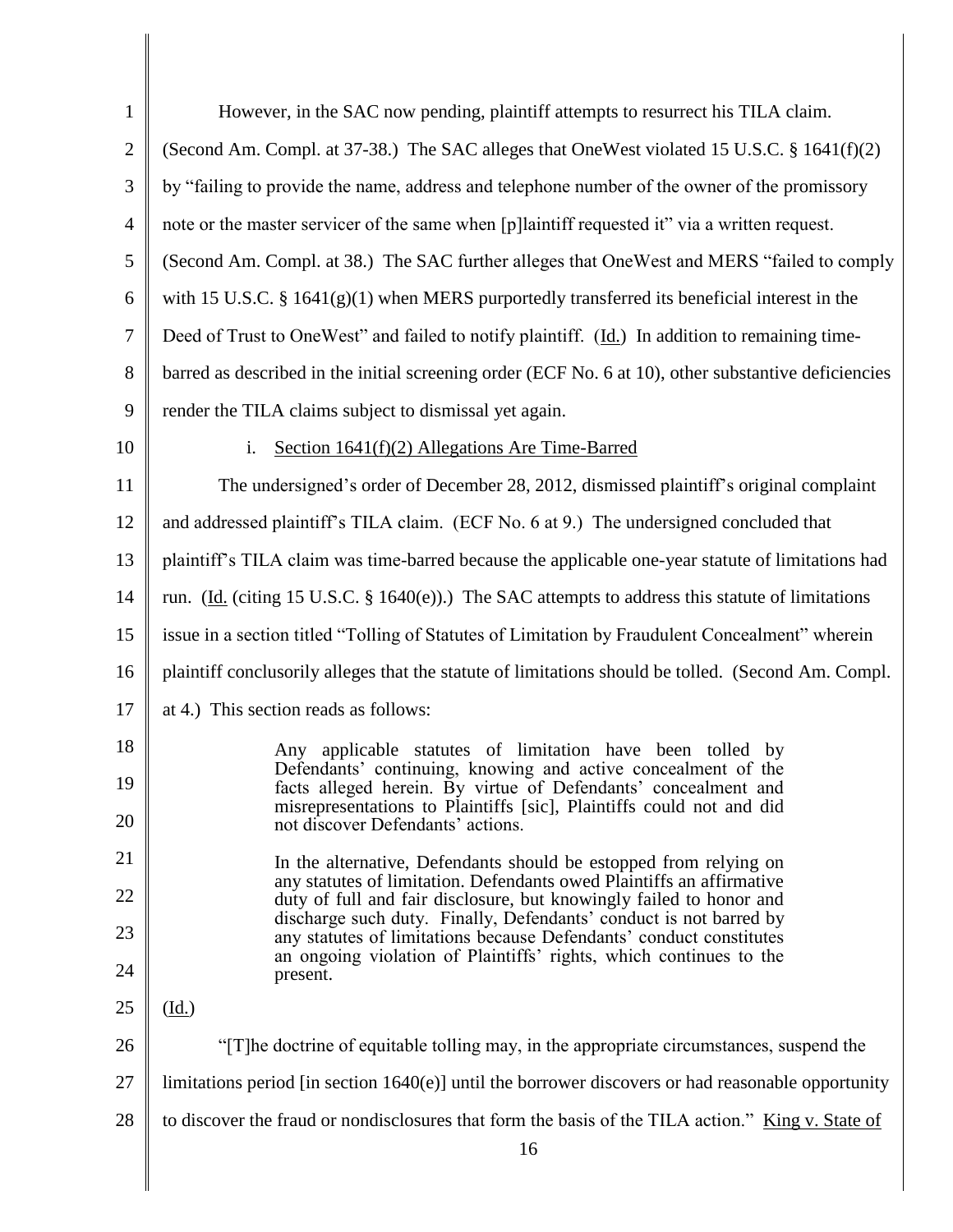| $\mathbf{1}$   | However, in the SAC now pending, plaintiff attempts to resurrect his TILA claim.                                                           |
|----------------|--------------------------------------------------------------------------------------------------------------------------------------------|
| $\overline{2}$ | (Second Am. Compl. at 37-38.) The SAC alleges that OneWest violated 15 U.S.C. § 1641(f)(2)                                                 |
| 3              | by "failing to provide the name, address and telephone number of the owner of the promissory                                               |
| $\overline{4}$ | note or the master servicer of the same when [p]laintiff requested it" via a written request.                                              |
| 5              | (Second Am. Compl. at 38.) The SAC further alleges that OneWest and MERS "failed to comply                                                 |
| 6              | with 15 U.S.C. $\S$ 1641(g)(1) when MERS purportedly transferred its beneficial interest in the                                            |
| $\overline{7}$ | Deed of Trust to OneWest" and failed to notify plaintiff. (Id.) In addition to remaining time-                                             |
| 8              | barred as described in the initial screening order (ECF No. 6 at 10), other substantive deficiencies                                       |
| 9              | render the TILA claims subject to dismissal yet again.                                                                                     |
| 10             | Section $1641(f)(2)$ Allegations Are Time-Barred<br>i.                                                                                     |
| 11             | The undersigned's order of December 28, 2012, dismissed plaintiff's original complaint                                                     |
| 12             | and addressed plaintiff's TILA claim. (ECF No. 6 at 9.) The undersigned concluded that                                                     |
| 13             | plaintiff's TILA claim was time-barred because the applicable one-year statute of limitations had                                          |
| 14             | run. (Id. (citing 15 U.S.C. $\S$ 1640(e)).) The SAC attempts to address this statute of limitations                                        |
| 15             | issue in a section titled "Tolling of Statutes of Limitation by Fraudulent Concealment" wherein                                            |
| 16             | plaintiff conclusorily alleges that the statute of limitations should be tolled. (Second Am. Compl.                                        |
| 17             | at 4.) This section reads as follows:                                                                                                      |
| 18             | applicable statutes of limitation have<br>been tolled<br>hv<br>Any                                                                         |
| 19             | Defendants' continuing, knowing and active concealment of the<br>facts alleged herein. By virtue of Defendants' concealment and            |
| 20             | misrepresentations to Plaintiffs [sic], Plaintiffs could not and did<br>not discover Defendants' actions.                                  |
| 21             | In the alternative, Defendants should be estopped from relying on<br>any statutes of limitation. Defendants owed Plaintiffs an affirmative |
| 22             | duty of full and fair disclosure, but knowingly failed to honor and<br>discharge such duty. Finally, Defendants' conduct is not barred by  |
| 23             | any statutes of limitations because Defendants' conduct constitutes<br>an ongoing violation of Plaintiffs' rights, which continues to the  |
| 24             | present.                                                                                                                                   |
| 25             | $(\underline{Id.})$                                                                                                                        |
| 26             | "[T] he doctrine of equitable tolling may, in the appropriate circumstances, suspend the                                                   |
| 27             | limitations period [in section $1640(e)$ ] until the borrower discovers or had reasonable opportunity                                      |
| 28             | to discover the fraud or nondisclosures that form the basis of the TILA action." King v. State of                                          |
|                | 16                                                                                                                                         |

║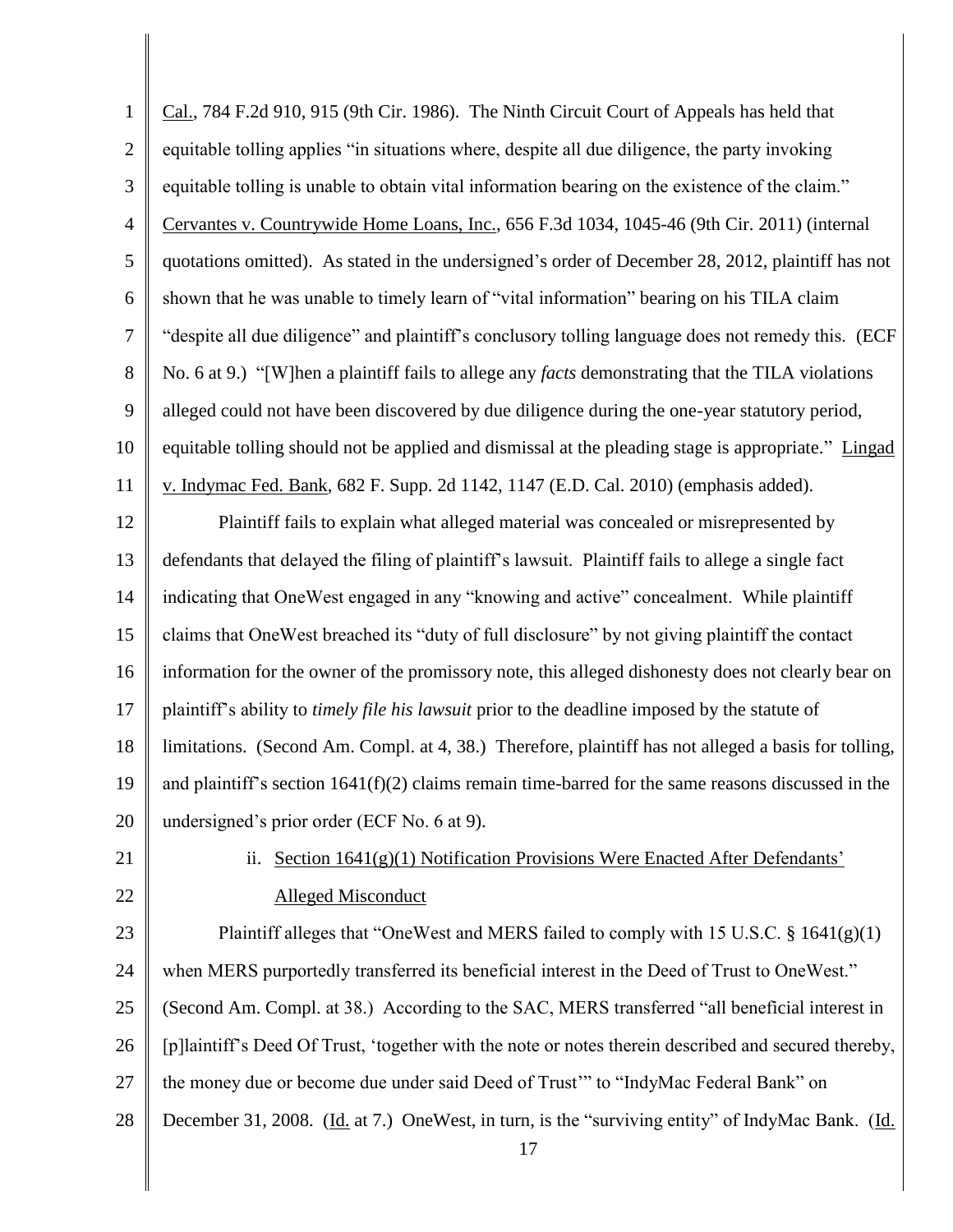| $\mathbf{1}$   | Cal., 784 F.2d 910, 915 (9th Cir. 1986). The Ninth Circuit Court of Appeals has held that              |
|----------------|--------------------------------------------------------------------------------------------------------|
| $\mathbf{2}$   | equitable tolling applies "in situations where, despite all due diligence, the party invoking          |
| $\mathfrak{Z}$ | equitable tolling is unable to obtain vital information bearing on the existence of the claim."        |
| $\overline{4}$ | Cervantes v. Countrywide Home Loans, Inc., 656 F.3d 1034, 1045-46 (9th Cir. 2011) (internal            |
| 5              | quotations omitted). As stated in the undersigned's order of December 28, 2012, plaintiff has not      |
| 6              | shown that he was unable to timely learn of "vital information" bearing on his TILA claim              |
| $\overline{7}$ | "despite all due diligence" and plaintiff's conclusory tolling language does not remedy this. (ECF     |
| 8              | No. 6 at 9.) "[W]hen a plaintiff fails to allege any facts demonstrating that the TILA violations      |
| 9              | alleged could not have been discovered by due diligence during the one-year statutory period,          |
| 10             | equitable tolling should not be applied and dismissal at the pleading stage is appropriate." Lingad    |
| 11             | v. Indymac Fed. Bank, 682 F. Supp. 2d 1142, 1147 (E.D. Cal. 2010) (emphasis added).                    |
| 12             | Plaintiff fails to explain what alleged material was concealed or misrepresented by                    |
| 13             | defendants that delayed the filing of plaintiff's lawsuit. Plaintiff fails to allege a single fact     |
| 14             | indicating that OneWest engaged in any "knowing and active" concealment. While plaintiff               |
| 15             | claims that OneWest breached its "duty of full disclosure" by not giving plaintiff the contact         |
| 16             | information for the owner of the promissory note, this alleged dishonesty does not clearly bear on     |
| 17             | plaintiff's ability to timely file his lawsuit prior to the deadline imposed by the statute of         |
| 18             | limitations. (Second Am. Compl. at 4, 38.) Therefore, plaintiff has not alleged a basis for tolling,   |
| 19             | and plaintiff's section $1641(f)(2)$ claims remain time-barred for the same reasons discussed in the   |
| 20             | undersigned's prior order (ECF No. 6 at 9).                                                            |
| 21             | ii. Section 1641(g)(1) Notification Provisions Were Enacted After Defendants'                          |
| 22             | <b>Alleged Misconduct</b>                                                                              |
| 23             | Plaintiff alleges that "OneWest and MERS failed to comply with 15 U.S.C. $\S$ 1641(g)(1)               |
| 24             | when MERS purportedly transferred its beneficial interest in the Deed of Trust to OneWest."            |
| 25             | (Second Am. Compl. at 38.) According to the SAC, MERS transferred "all beneficial interest in          |
| 26             | [p]laintiff's Deed Of Trust, 'together with the note or notes therein described and secured thereby,   |
| 27             | the money due or become due under said Deed of Trust" to "IndyMac Federal Bank" on                     |
| 28             | December 31, 2008. (Id. at 7.) OneWest, in turn, is the "surviving entity" of IndyMac Bank. (Id.<br>17 |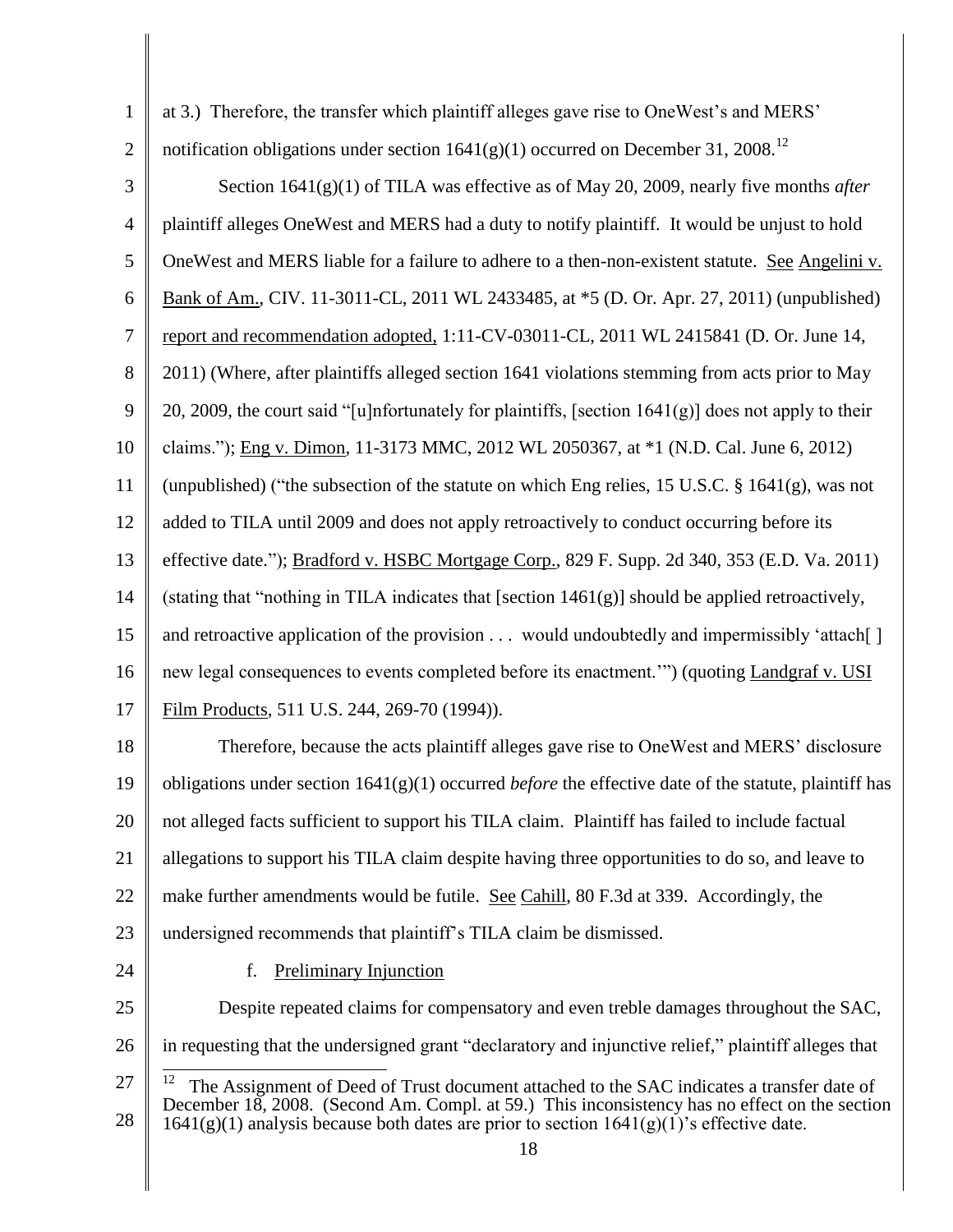1

at 3.) Therefore, the transfer which plaintiff alleges gave rise to OneWest's and MERS'

2 notification obligations under section  $1641(g)(1)$  occurred on December 31, 2008.<sup>12</sup>

3 4 5 6 7 8 9 10 11 12 13 14 15 16 17 18 19 20 Section 1641(g)(1) of TILA was effective as of May 20, 2009, nearly five months *after* plaintiff alleges OneWest and MERS had a duty to notify plaintiff. It would be unjust to hold OneWest and MERS liable for a failure to adhere to a then-non-existent statute. See Angelini v. Bank of Am., CIV. 11-3011-CL, 2011 WL 2433485, at \*5 (D. Or. Apr. 27, 2011) (unpublished) report and recommendation adopted, 1:11-CV-03011-CL, 2011 WL 2415841 (D. Or. June 14, 2011) (Where, after plaintiffs alleged section 1641 violations stemming from acts prior to May 20, 2009, the court said "[u]nfortunately for plaintiffs, [section  $1641(g)$ ] does not apply to their claims."); Eng v. Dimon, 11-3173 MMC, 2012 WL 2050367, at \*1 (N.D. Cal. June 6, 2012) (unpublished) ("the subsection of the statute on which Eng relies, 15 U.S.C. § 1641(g), was not added to TILA until 2009 and does not apply retroactively to conduct occurring before its effective date."); Bradford v. HSBC Mortgage Corp., 829 F. Supp. 2d 340, 353 (E.D. Va. 2011) (stating that "nothing in TILA indicates that [section 1461(g)] should be applied retroactively, and retroactive application of the provision ... would undoubtedly and impermissibly 'attach<sup>[]</sup> new legal consequences to events completed before its enactment.'") (quoting Landgraf v. USI Film Products, 511 U.S. 244, 269-70 (1994)). Therefore, because the acts plaintiff alleges gave rise to OneWest and MERS' disclosure obligations under section  $1641(g)(1)$  occurred *before* the effective date of the statute, plaintiff has not alleged facts sufficient to support his TILA claim. Plaintiff has failed to include factual

21 allegations to support his TILA claim despite having three opportunities to do so, and leave to

22 make further amendments would be futile. See Cahill, 80 F.3d at 339. Accordingly, the

- 23 undersigned recommends that plaintiff's TILA claim be dismissed.
- 24

f. Preliminary Injunction

25 26 Despite repeated claims for compensatory and even treble damages throughout the SAC, in requesting that the undersigned grant "declaratory and injunctive relief," plaintiff alleges that

<sup>27</sup> 28  $\frac{1}{12}$  The Assignment of Deed of Trust document attached to the SAC indicates a transfer date of December 18, 2008. (Second Am. Compl. at 59.) This inconsistency has no effect on the section  $1641(g)(1)$  analysis because both dates are prior to section  $1641(g)(1)$ 's effective date.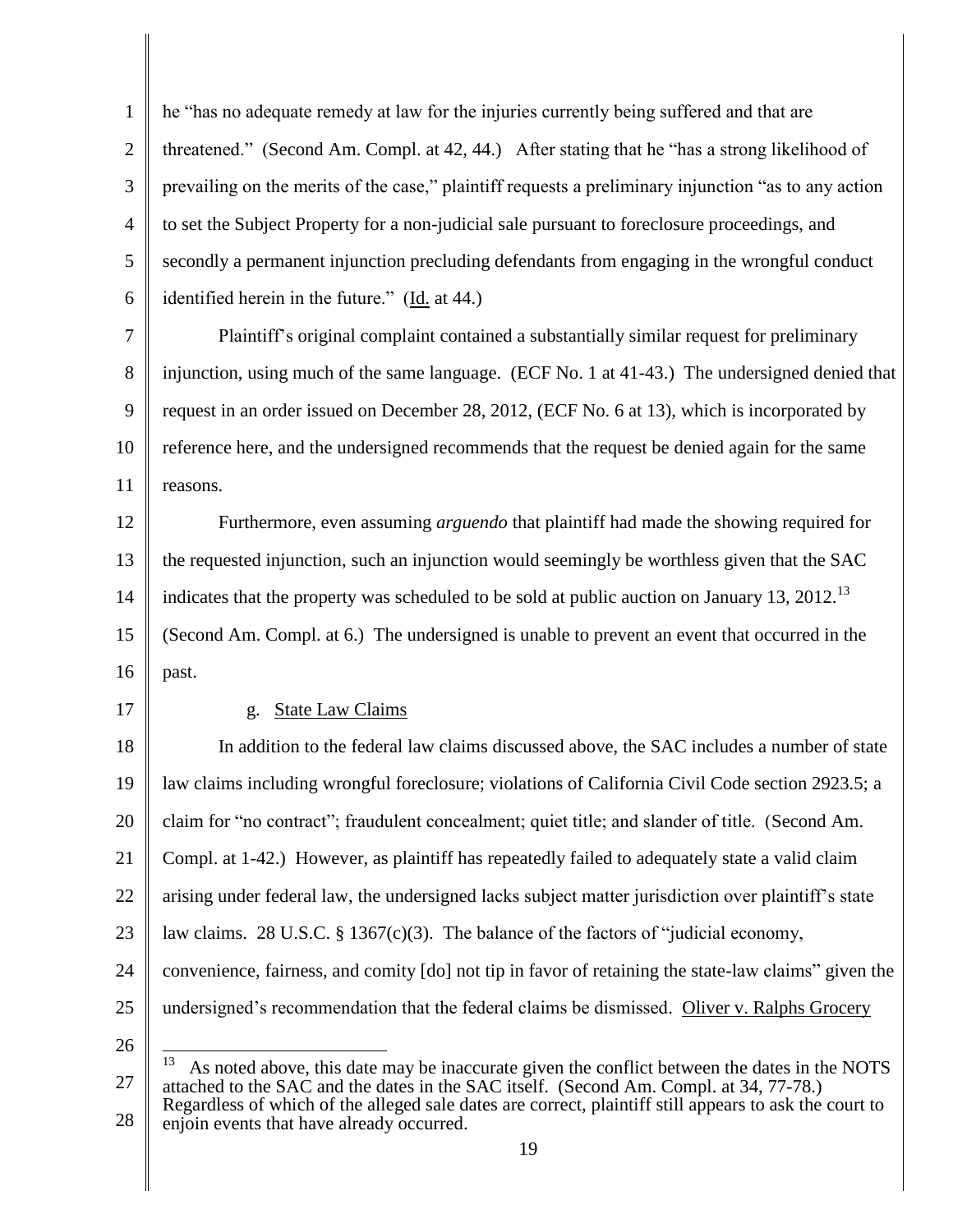1 2 3 4 5 6 7 8 9 10 11 12 13 14 15 16 17 18 19 20 21 22 23 24 25 26 27 he "has no adequate remedy at law for the injuries currently being suffered and that are threatened." (Second Am. Compl. at 42, 44.) After stating that he "has a strong likelihood of prevailing on the merits of the case," plaintiff requests a preliminary injunction "as to any action to set the Subject Property for a non-judicial sale pursuant to foreclosure proceedings, and secondly a permanent injunction precluding defendants from engaging in the wrongful conduct identified herein in the future." (Id. at 44.) Plaintiff's original complaint contained a substantially similar request for preliminary injunction, using much of the same language. (ECF No. 1 at 41-43.) The undersigned denied that request in an order issued on December 28, 2012, (ECF No. 6 at 13), which is incorporated by reference here, and the undersigned recommends that the request be denied again for the same reasons. Furthermore, even assuming *arguendo* that plaintiff had made the showing required for the requested injunction, such an injunction would seemingly be worthless given that the SAC indicates that the property was scheduled to be sold at public auction on January 13, 2012.<sup>13</sup> (Second Am. Compl. at 6.) The undersigned is unable to prevent an event that occurred in the past. g. State Law Claims In addition to the federal law claims discussed above, the SAC includes a number of state law claims including wrongful foreclosure; violations of California Civil Code section 2923.5; a claim for "no contract"; fraudulent concealment; quiet title; and slander of title. (Second Am. Compl. at 1-42.) However, as plaintiff has repeatedly failed to adequately state a valid claim arising under federal law, the undersigned lacks subject matter jurisdiction over plaintiff's state law claims. 28 U.S.C.  $\S$  1367(c)(3). The balance of the factors of "judicial economy, convenience, fairness, and comity [do] not tip in favor of retaining the state-law claims" given the undersigned's recommendation that the federal claims be dismissed. Oliver v. Ralphs Grocery 13 As noted above, this date may be inaccurate given the conflict between the dates in the NOTS attached to the SAC and the dates in the SAC itself. (Second Am. Compl. at 34, 77-78.) Regardless of which of the alleged sale dates are correct, plaintiff still appears to ask the court to

28 enjoin events that have already occurred.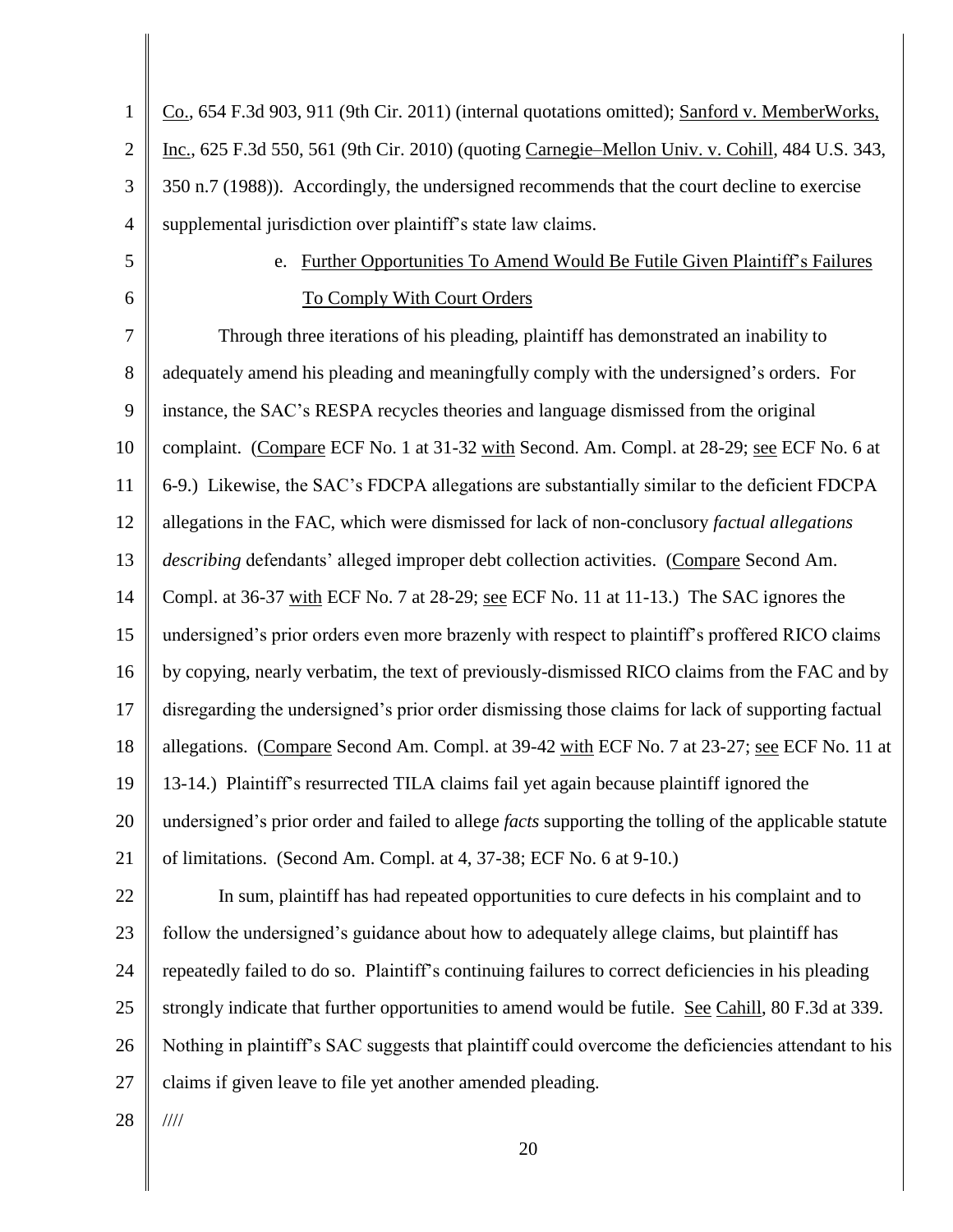1 2 3 4 Co., 654 F.3d 903, 911 (9th Cir. 2011) (internal quotations omitted); Sanford v. MemberWorks, Inc., 625 F.3d 550, 561 (9th Cir. 2010) (quoting Carnegie–Mellon Univ. v. Cohill, 484 U.S. 343, 350 n.7 (1988)). Accordingly, the undersigned recommends that the court decline to exercise supplemental jurisdiction over plaintiff's state law claims.

5

6

## e. Further Opportunities To Amend Would Be Futile Given Plaintiff's Failures To Comply With Court Orders

7 8 9 10 11 12 13 14 15 16 17 18 19 20 21 22 23 24 25 26 Through three iterations of his pleading, plaintiff has demonstrated an inability to adequately amend his pleading and meaningfully comply with the undersigned's orders. For instance, the SAC's RESPA recycles theories and language dismissed from the original complaint. (Compare ECF No. 1 at 31-32 with Second. Am. Compl. at 28-29; see ECF No. 6 at 6-9.) Likewise, the SAC's FDCPA allegations are substantially similar to the deficient FDCPA allegations in the FAC, which were dismissed for lack of non-conclusory *factual allegations describing* defendants' alleged improper debt collection activities. (Compare Second Am. Compl. at 36-37 with ECF No. 7 at 28-29; see ECF No. 11 at 11-13.) The SAC ignores the undersigned's prior orders even more brazenly with respect to plaintiff's proffered RICO claims by copying, nearly verbatim, the text of previously-dismissed RICO claims from the FAC and by disregarding the undersigned's prior order dismissing those claims for lack of supporting factual allegations. (Compare Second Am. Compl. at 39-42 with ECF No. 7 at 23-27; see ECF No. 11 at 13-14.) Plaintiff's resurrected TILA claims fail yet again because plaintiff ignored the undersigned's prior order and failed to allege *facts* supporting the tolling of the applicable statute of limitations. (Second Am. Compl. at 4, 37-38; ECF No. 6 at 9-10.) In sum, plaintiff has had repeated opportunities to cure defects in his complaint and to follow the undersigned's guidance about how to adequately allege claims, but plaintiff has repeatedly failed to do so. Plaintiff's continuing failures to correct deficiencies in his pleading strongly indicate that further opportunities to amend would be futile. See Cahill, 80 F.3d at 339. Nothing in plaintiff's SAC suggests that plaintiff could overcome the deficiencies attendant to his

27 claims if given leave to file yet another amended pleading.

28 ////